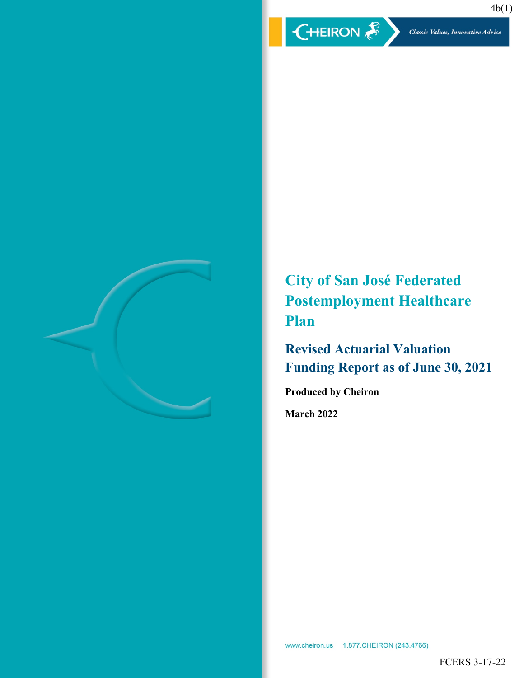$\left( \text{HEIRON} \right)$ 

Classic Values, Innovative Advice



**City of San José Federated Postemployment Healthcare Plan** 

**Revised Actuarial Valuation Funding Report as of June 30, 2021** 

**Produced by Cheiron** 

**March 2022** 

www.cheiron.us 1.877.CHEIRON (243.4766)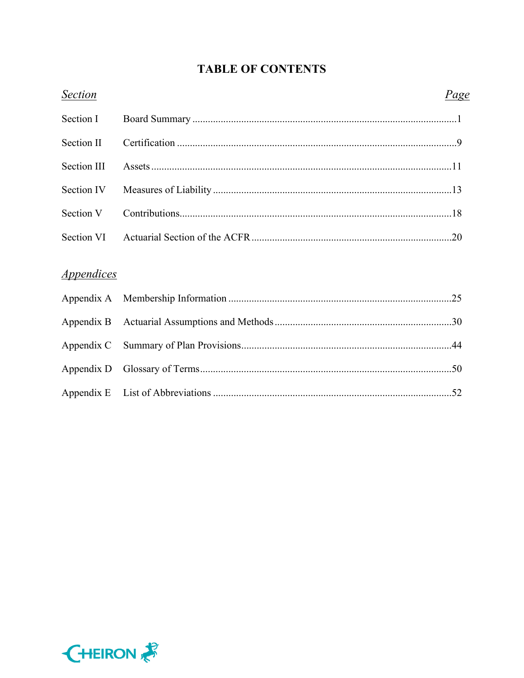# **TABLE OF CONTENTS**

| <b>Section</b>                  | <u>Page</u> |
|---------------------------------|-------------|
| Section I                       |             |
| Section II                      |             |
| Section III                     |             |
| Section IV                      |             |
| Section V                       |             |
| Section VI                      |             |
|                                 |             |
| <i><u><b>Appendices</b></u></i> |             |
| Appendix A                      |             |
| Appendix B                      |             |
| Appendix C                      |             |
| Appendix D                      |             |
|                                 |             |

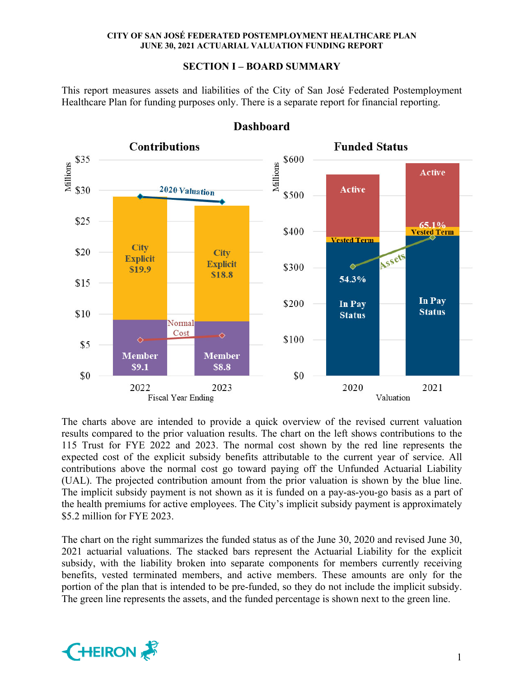## **SECTION I – BOARD SUMMARY**

This report measures assets and liabilities of the City of San José Federated Postemployment Healthcare Plan for funding purposes only. There is a separate report for financial reporting.



# **Dashboard**

The charts above are intended to provide a quick overview of the revised current valuation results compared to the prior valuation results. The chart on the left shows contributions to the 115 Trust for FYE 2022 and 2023. The normal cost shown by the red line represents the expected cost of the explicit subsidy benefits attributable to the current year of service. All contributions above the normal cost go toward paying off the Unfunded Actuarial Liability (UAL). The projected contribution amount from the prior valuation is shown by the blue line. The implicit subsidy payment is not shown as it is funded on a pay-as-you-go basis as a part of the health premiums for active employees. The City's implicit subsidy payment is approximately \$5.2 million for FYE 2023.

The chart on the right summarizes the funded status as of the June 30, 2020 and revised June 30, 2021 actuarial valuations. The stacked bars represent the Actuarial Liability for the explicit subsidy, with the liability broken into separate components for members currently receiving benefits, vested terminated members, and active members. These amounts are only for the portion of the plan that is intended to be pre-funded, so they do not include the implicit subsidy. The green line represents the assets, and the funded percentage is shown next to the green line.

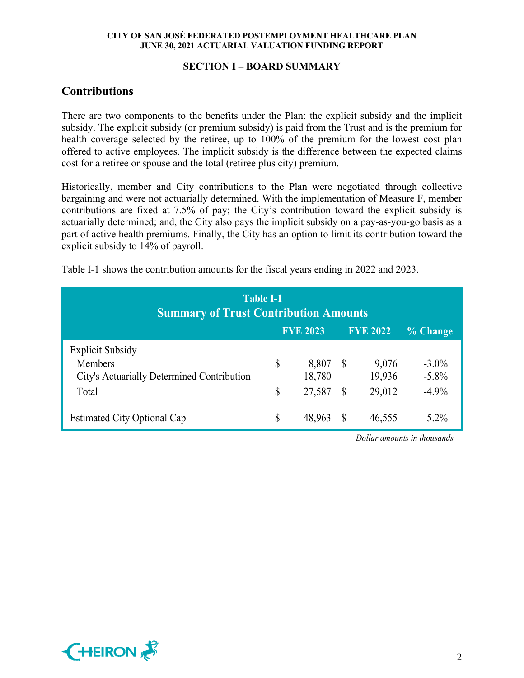## **SECTION I – BOARD SUMMARY**

# **Contributions**

There are two components to the benefits under the Plan: the explicit subsidy and the implicit subsidy. The explicit subsidy (or premium subsidy) is paid from the Trust and is the premium for health coverage selected by the retiree, up to 100% of the premium for the lowest cost plan offered to active employees. The implicit subsidy is the difference between the expected claims cost for a retiree or spouse and the total (retiree plus city) premium.

Historically, member and City contributions to the Plan were negotiated through collective bargaining and were not actuarially determined. With the implementation of Measure F, member contributions are fixed at 7.5% of pay; the City's contribution toward the explicit subsidy is actuarially determined; and, the City also pays the implicit subsidy on a pay-as-you-go basis as a part of active health premiums. Finally, the City has an option to limit its contribution toward the explicit subsidy to 14% of payroll.

| <b>Table I-1</b><br><b>Summary of Trust Contribution Amounts</b>                                 |         |                           |        |                           |                                 |  |  |  |  |  |
|--------------------------------------------------------------------------------------------------|---------|---------------------------|--------|---------------------------|---------------------------------|--|--|--|--|--|
| <b>FYE 2022</b><br><b>FYE 2023</b><br>% Change                                                   |         |                           |        |                           |                                 |  |  |  |  |  |
| <b>Explicit Subsidy</b><br><b>Members</b><br>City's Actuarially Determined Contribution<br>Total | \$<br>S | 8,807<br>18,780<br>27,587 | S<br>S | 9,076<br>19,936<br>29,012 | $-3.0\%$<br>$-5.8\%$<br>$-4.9%$ |  |  |  |  |  |
| <b>Estimated City Optional Cap</b>                                                               | \$      | 48,963                    |        | 46,555                    | $5.2\%$                         |  |  |  |  |  |

Table I-1 shows the contribution amounts for the fiscal years ending in 2022 and 2023.

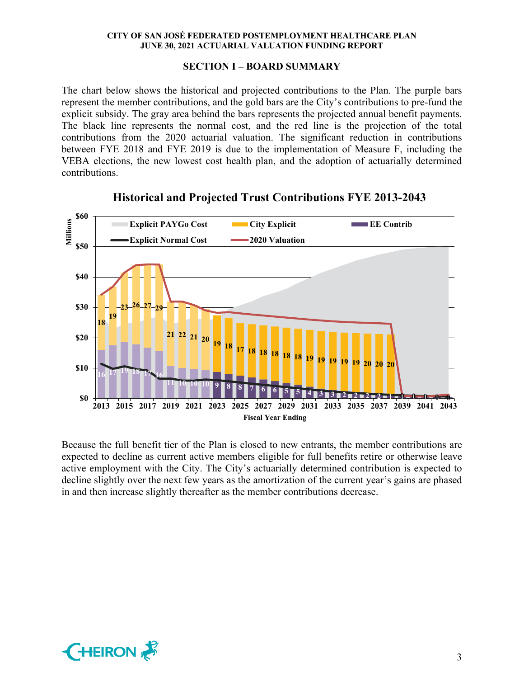## **SECTION I – BOARD SUMMARY**

The chart below shows the historical and projected contributions to the Plan. The purple bars represent the member contributions, and the gold bars are the City's contributions to pre-fund the explicit subsidy. The gray area behind the bars represents the projected annual benefit payments. The black line represents the normal cost, and the red line is the projection of the total contributions from the 2020 actuarial valuation. The significant reduction in contributions between FYE 2018 and FYE 2019 is due to the implementation of Measure F, including the VEBA elections, the new lowest cost health plan, and the adoption of actuarially determined contributions.



**Historical and Projected Trust Contributions FYE 2013-2043** 

Because the full benefit tier of the Plan is closed to new entrants, the member contributions are expected to decline as current active members eligible for full benefits retire or otherwise leave active employment with the City. The City's actuarially determined contribution is expected to decline slightly over the next few years as the amortization of the current year's gains are phased in and then increase slightly thereafter as the member contributions decrease.

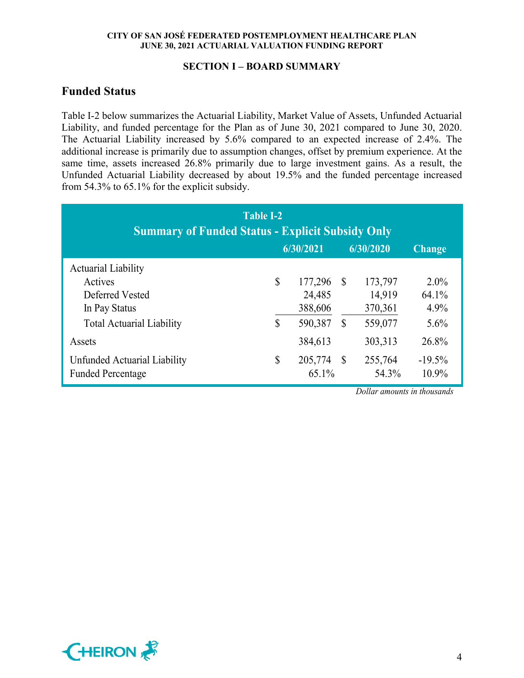## **SECTION I – BOARD SUMMARY**

# **Funded Status**

Table I-2 below summarizes the Actuarial Liability, Market Value of Assets, Unfunded Actuarial Liability, and funded percentage for the Plan as of June 30, 2021 compared to June 30, 2020. The Actuarial Liability increased by 5.6% compared to an expected increase of 2.4%. The additional increase is primarily due to assumption changes, offset by premium experience. At the same time, assets increased 26.8% primarily due to large investment gains. As a result, the Unfunded Actuarial Liability decreased by about 19.5% and the funded percentage increased from 54.3% to 65.1% for the explicit subsidy.

| <b>Table I-2</b><br><b>Summary of Funded Status - Explicit Subsidy Only</b>                                   |          |                                            |              |                                         |                                  |  |  |  |  |  |
|---------------------------------------------------------------------------------------------------------------|----------|--------------------------------------------|--------------|-----------------------------------------|----------------------------------|--|--|--|--|--|
| 6/30/2021<br>6/30/2020<br><b>Change</b>                                                                       |          |                                            |              |                                         |                                  |  |  |  |  |  |
| <b>Actuarial Liability</b><br>Actives<br>Deferred Vested<br>In Pay Status<br><b>Total Actuarial Liability</b> | \$<br>\$ | 177,296 \$<br>24,485<br>388,606<br>590,387 | <sup>S</sup> | 173,797<br>14,919<br>370,361<br>559,077 | $2.0\%$<br>64.1%<br>4.9%<br>5.6% |  |  |  |  |  |
| Assets<br>Unfunded Actuarial Liability<br><b>Funded Percentage</b>                                            | \$       | 384,613<br>205,774<br>65.1%                | <b>S</b>     | 303,313<br>255,764<br>54.3%             | 26.8%<br>$-19.5%$<br>10.9%       |  |  |  |  |  |

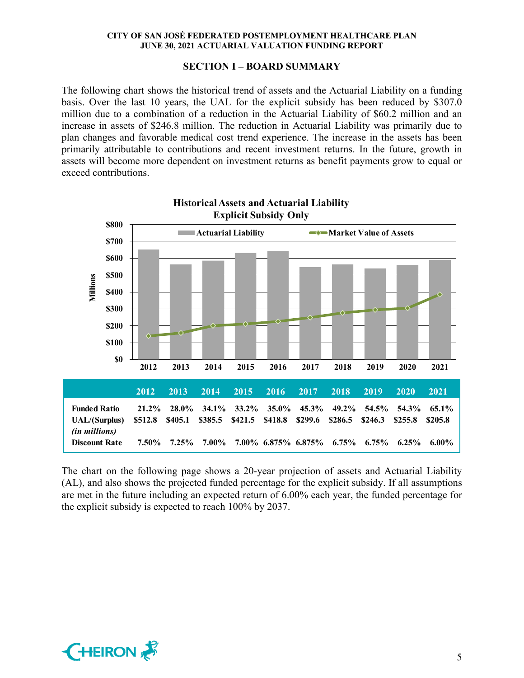#### **SECTION I – BOARD SUMMARY**

The following chart shows the historical trend of assets and the Actuarial Liability on a funding basis. Over the last 10 years, the UAL for the explicit subsidy has been reduced by \$307.0 million due to a combination of a reduction in the Actuarial Liability of \$60.2 million and an increase in assets of \$246.8 million. The reduction in Actuarial Liability was primarily due to plan changes and favorable medical cost trend experience. The increase in the assets has been primarily attributable to contributions and recent investment returns. In the future, growth in assets will become more dependent on investment returns as benefit payments grow to equal or exceed contributions.



The chart on the following page shows a 20-year projection of assets and Actuarial Liability (AL), and also shows the projected funded percentage for the explicit subsidy. If all assumptions are met in the future including an expected return of 6.00% each year, the funded percentage for the explicit subsidy is expected to reach 100% by 2037.

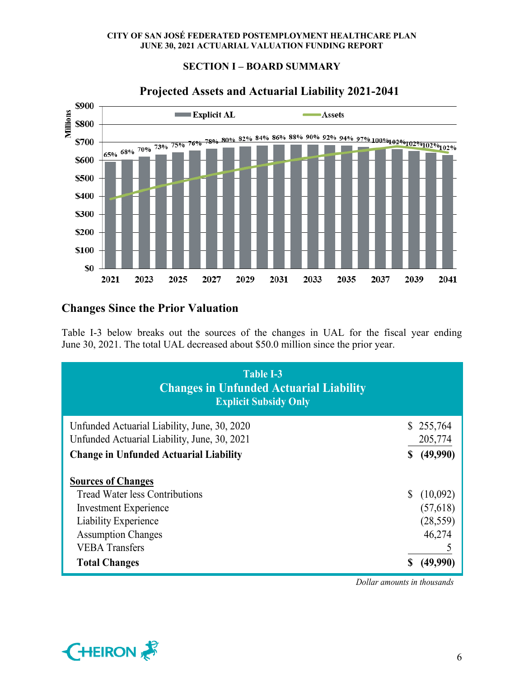# **SECTION I – BOARD SUMMARY**



# **Projected Assets and Actuarial Liability 2021-2041**

# **Changes Since the Prior Valuation**

Table I-3 below breaks out the sources of the changes in UAL for the fiscal year ending June 30, 2021. The total UAL decreased about \$50.0 million since the prior year.

| <b>Table I-3</b><br><b>Changes in Unfunded Actuarial Liability</b><br><b>Explicit Subsidy Only</b>                                                                                                       |                                              |
|----------------------------------------------------------------------------------------------------------------------------------------------------------------------------------------------------------|----------------------------------------------|
| Unfunded Actuarial Liability, June, 30, 2020<br>Unfunded Actuarial Liability, June, 30, 2021<br><b>Change in Unfunded Actuarial Liability</b>                                                            | \$255,764<br>205,774<br>\$ (49,990)          |
| <b>Sources of Changes</b><br><b>Tread Water less Contributions</b><br><b>Investment Experience</b><br>Liability Experience<br><b>Assumption Changes</b><br><b>VEBA</b> Transfers<br><b>Total Changes</b> | (10,092)<br>(57, 618)<br>(28, 559)<br>46,274 |



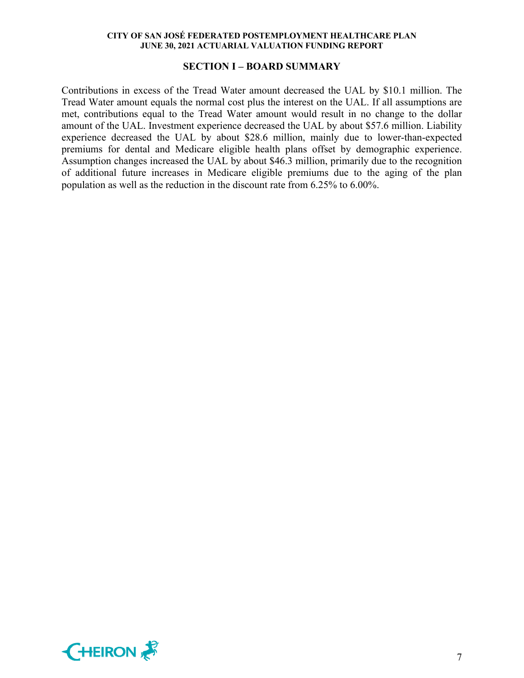#### **SECTION I – BOARD SUMMARY**

Contributions in excess of the Tread Water amount decreased the UAL by \$10.1 million. The Tread Water amount equals the normal cost plus the interest on the UAL. If all assumptions are met, contributions equal to the Tread Water amount would result in no change to the dollar amount of the UAL. Investment experience decreased the UAL by about \$57.6 million. Liability experience decreased the UAL by about \$28.6 million, mainly due to lower-than-expected premiums for dental and Medicare eligible health plans offset by demographic experience. Assumption changes increased the UAL by about \$46.3 million, primarily due to the recognition of additional future increases in Medicare eligible premiums due to the aging of the plan population as well as the reduction in the discount rate from 6.25% to 6.00%.

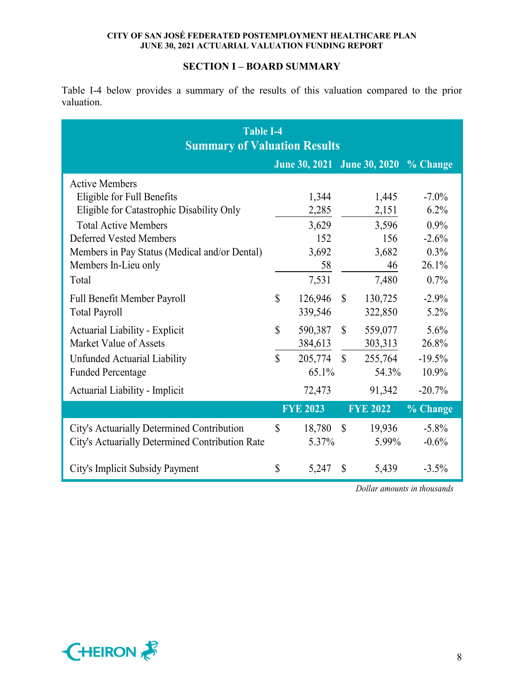## **SECTION I – BOARD SUMMARY**

Table I-4 below provides a summary of the results of this valuation compared to the prior valuation.

| <b>Table I-4</b><br><b>Summary of Valuation Results</b>                                                                                                                                                                                                                                                           |                   |                                                                              |               |                                                                              |                                                                                     |  |  |  |  |
|-------------------------------------------------------------------------------------------------------------------------------------------------------------------------------------------------------------------------------------------------------------------------------------------------------------------|-------------------|------------------------------------------------------------------------------|---------------|------------------------------------------------------------------------------|-------------------------------------------------------------------------------------|--|--|--|--|
|                                                                                                                                                                                                                                                                                                                   |                   |                                                                              |               |                                                                              | June 30, 2021 June 30, 2020 % Change                                                |  |  |  |  |
| <b>Active Members</b><br>Eligible for Full Benefits<br>Eligible for Catastrophic Disability Only<br><b>Total Active Members</b><br><b>Deferred Vested Members</b><br>Members in Pay Status (Medical and/or Dental)<br>Members In-Lieu only<br>Total<br><b>Full Benefit Member Payroll</b><br><b>Total Payroll</b> | \$                | 1,344<br>2,285<br>3,629<br>152<br>3,692<br>58<br>7,531<br>126,946<br>339,546 | $\mathcal{S}$ | 1,445<br>2,151<br>3,596<br>156<br>3,682<br>46<br>7,480<br>130,725<br>322,850 | $-7.0\%$<br>6.2%<br>$0.9\%$<br>$-2.6%$<br>0.3%<br>26.1%<br>0.7%<br>$-2.9\%$<br>5.2% |  |  |  |  |
| Actuarial Liability - Explicit<br>Market Value of Assets                                                                                                                                                                                                                                                          | $\boldsymbol{\S}$ | 590,387<br>384,613                                                           | $\mathbb{S}$  | 559,077<br>303,313                                                           | 5.6%<br>26.8%                                                                       |  |  |  |  |
| Unfunded Actuarial Liability<br><b>Funded Percentage</b><br>Actuarial Liability - Implicit                                                                                                                                                                                                                        | $\mathbf{\$}$     | 205,774<br>65.1%<br>72,473                                                   | $\mathbb{S}$  | 255,764<br>54.3%<br>91,342                                                   | $-19.5%$<br>10.9%<br>$-20.7%$                                                       |  |  |  |  |
|                                                                                                                                                                                                                                                                                                                   |                   | <b>FYE 2023</b>                                                              |               | <b>FYE 2022</b>                                                              | % Change                                                                            |  |  |  |  |
| City's Actuarially Determined Contribution<br>City's Actuarially Determined Contribution Rate                                                                                                                                                                                                                     | $\mathcal{S}$     | 18,780<br>5.37%                                                              | $\mathcal{S}$ | 19,936<br>5.99%                                                              | $-5.8\%$<br>$-0.6%$                                                                 |  |  |  |  |
| City's Implicit Subsidy Payment                                                                                                                                                                                                                                                                                   | \$                | 5,247                                                                        | $\mathcal{S}$ | 5,439                                                                        | $-3.5%$                                                                             |  |  |  |  |

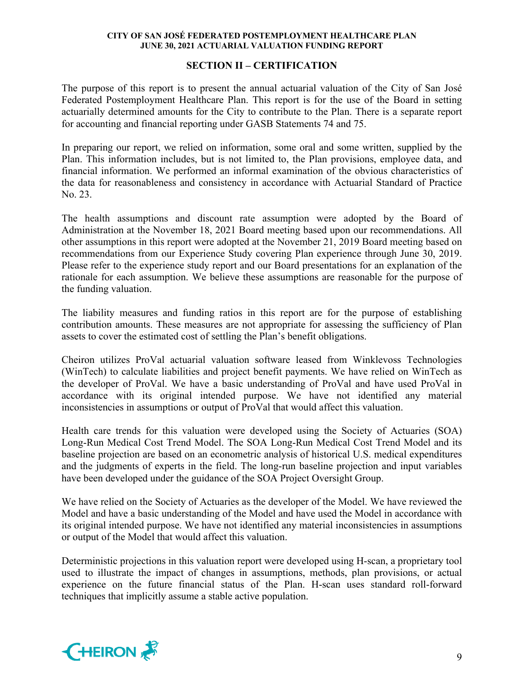## **SECTION II – CERTIFICATION**

The purpose of this report is to present the annual actuarial valuation of the City of San José Federated Postemployment Healthcare Plan. This report is for the use of the Board in setting actuarially determined amounts for the City to contribute to the Plan. There is a separate report for accounting and financial reporting under GASB Statements 74 and 75.

In preparing our report, we relied on information, some oral and some written, supplied by the Plan. This information includes, but is not limited to, the Plan provisions, employee data, and financial information. We performed an informal examination of the obvious characteristics of the data for reasonableness and consistency in accordance with Actuarial Standard of Practice No. 23.

The health assumptions and discount rate assumption were adopted by the Board of Administration at the November 18, 2021 Board meeting based upon our recommendations. All other assumptions in this report were adopted at the November 21, 2019 Board meeting based on recommendations from our Experience Study covering Plan experience through June 30, 2019. Please refer to the experience study report and our Board presentations for an explanation of the rationale for each assumption. We believe these assumptions are reasonable for the purpose of the funding valuation.

The liability measures and funding ratios in this report are for the purpose of establishing contribution amounts. These measures are not appropriate for assessing the sufficiency of Plan assets to cover the estimated cost of settling the Plan's benefit obligations.

Cheiron utilizes ProVal actuarial valuation software leased from Winklevoss Technologies (WinTech) to calculate liabilities and project benefit payments. We have relied on WinTech as the developer of ProVal. We have a basic understanding of ProVal and have used ProVal in accordance with its original intended purpose. We have not identified any material inconsistencies in assumptions or output of ProVal that would affect this valuation.

Health care trends for this valuation were developed using the Society of Actuaries (SOA) Long-Run Medical Cost Trend Model. The SOA Long-Run Medical Cost Trend Model and its baseline projection are based on an econometric analysis of historical U.S. medical expenditures and the judgments of experts in the field. The long-run baseline projection and input variables have been developed under the guidance of the SOA Project Oversight Group.

We have relied on the Society of Actuaries as the developer of the Model. We have reviewed the Model and have a basic understanding of the Model and have used the Model in accordance with its original intended purpose. We have not identified any material inconsistencies in assumptions or output of the Model that would affect this valuation.

Deterministic projections in this valuation report were developed using H-scan, a proprietary tool used to illustrate the impact of changes in assumptions, methods, plan provisions, or actual experience on the future financial status of the Plan. H-scan uses standard roll-forward techniques that implicitly assume a stable active population.

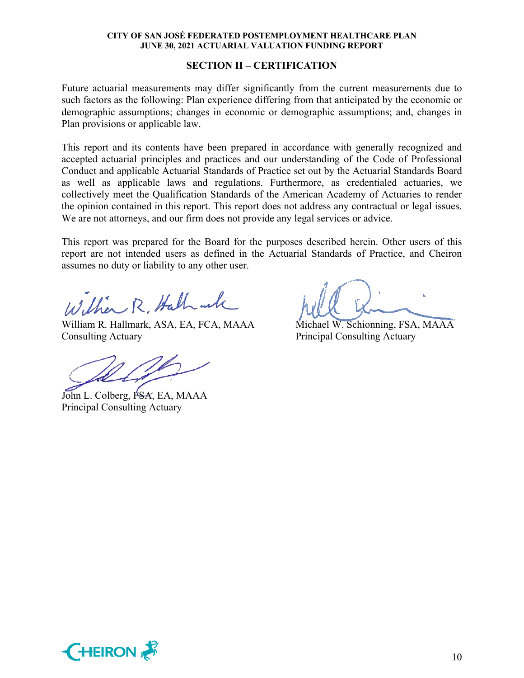#### **SECTION II – CERTIFICATION**

Future actuarial measurements may differ significantly from the current measurements due to such factors as the following: Plan experience differing from that anticipated by the economic or demographic assumptions; changes in economic or demographic assumptions; and, changes in Plan provisions or applicable law.

This report and its contents have been prepared in accordance with generally recognized and accepted actuarial principles and practices and our understanding of the Code of Professional Conduct and applicable Actuarial Standards of Practice set out by the Actuarial Standards Board as well as applicable laws and regulations. Furthermore, as credentialed actuaries, we collectively meet the Qualification Standards of the American Academy of Actuaries to render the opinion contained in this report. This report does not address any contractual or legal issues. We are not attorneys, and our firm does not provide any legal services or advice.

This report was prepared for the Board for the purposes described herein. Other users of this report are not intended users as defined in the Actuarial Standards of Practice, and Cheiron assumes no duty or liability to any other user.

William R. Hallmake

William R. Hallmark, ASA, EA, FCA, MAAA Michael W. Schionning, FSA, MAAA Consulting Actuary Principal Consulting Actuary

John L. Colberg, FSA, EA, MAAA Principal Consulting Actuary

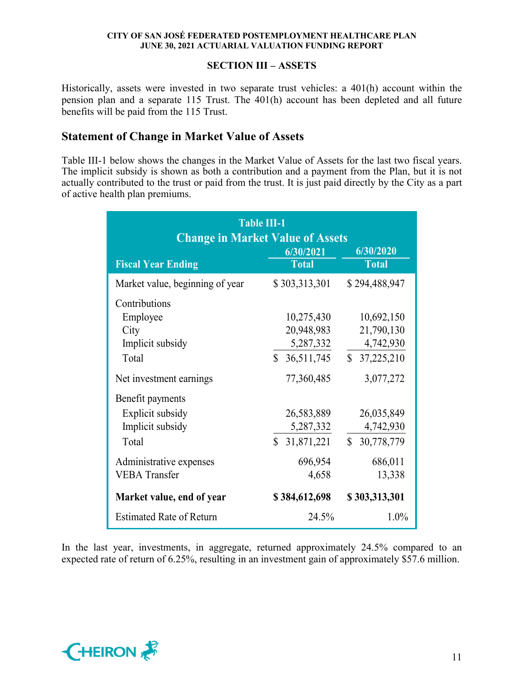## **SECTION III – ASSETS**

Historically, assets were invested in two separate trust vehicles: a 401(h) account within the pension plan and a separate 115 Trust. The 401(h) account has been depleted and all future benefits will be paid from the 115 Trust.

# **Statement of Change in Market Value of Assets**

Table III-1 below shows the changes in the Market Value of Assets for the last two fiscal years. The implicit subsidy is shown as both a contribution and a payment from the Plan, but it is not actually contributed to the trust or paid from the trust. It is just paid directly by the City as a part of active health plan premiums.

| <b>Table III-1</b><br><b>Change in Market Value of Assets</b> |               |               |  |  |  |  |  |  |  |
|---------------------------------------------------------------|---------------|---------------|--|--|--|--|--|--|--|
|                                                               | 6/30/2021     | 6/30/2020     |  |  |  |  |  |  |  |
| <b>Fiscal Year Ending</b>                                     | Total         | <b>Total</b>  |  |  |  |  |  |  |  |
| Market value, beginning of year                               | \$303,313,301 | \$294,488,947 |  |  |  |  |  |  |  |
| Contributions                                                 |               |               |  |  |  |  |  |  |  |
| Employee                                                      | 10,275,430    | 10,692,150    |  |  |  |  |  |  |  |
| City                                                          | 20,948,983    | 21,790,130    |  |  |  |  |  |  |  |
| Implicit subsidy                                              | 5,287,332     | 4,742,930     |  |  |  |  |  |  |  |
| Total                                                         | \$36,511,745  | \$37,225,210  |  |  |  |  |  |  |  |
| Net investment earnings                                       | 77,360,485    | 3,077,272     |  |  |  |  |  |  |  |
| Benefit payments                                              |               |               |  |  |  |  |  |  |  |
| Explicit subsidy                                              | 26,583,889    | 26,035,849    |  |  |  |  |  |  |  |
| Implicit subsidy                                              | 5, 287, 332   | 4,742,930     |  |  |  |  |  |  |  |
| Total                                                         | \$31,871,221  | \$ 30,778,779 |  |  |  |  |  |  |  |
| Administrative expenses                                       | 696,954       | 686,011       |  |  |  |  |  |  |  |
| <b>VEBA</b> Transfer                                          | 4,658         | 13,338        |  |  |  |  |  |  |  |
| Market value, end of year                                     | \$384,612,698 | \$303,313,301 |  |  |  |  |  |  |  |
| <b>Estimated Rate of Return</b>                               | 24.5%         | 1.0%          |  |  |  |  |  |  |  |

In the last year, investments, in aggregate, returned approximately 24.5% compared to an expected rate of return of 6.25%, resulting in an investment gain of approximately \$57.6 million.

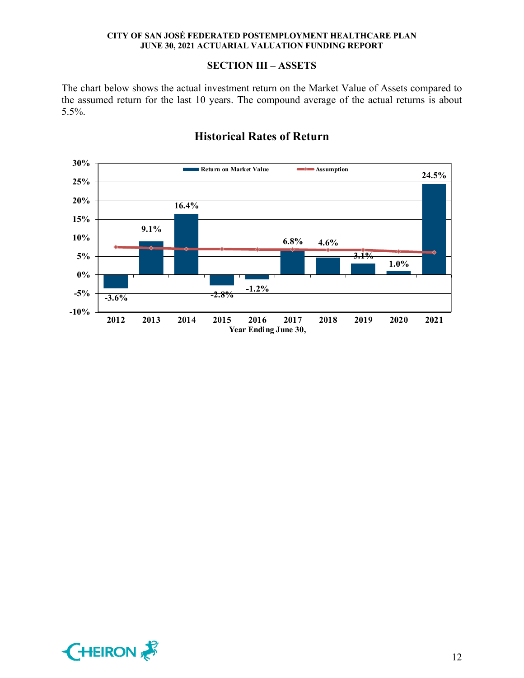## **SECTION III – ASSETS**

The chart below shows the actual investment return on the Market Value of Assets compared to the assumed return for the last 10 years. The compound average of the actual returns is about 5.5%.



# **Historical Rates of Return**

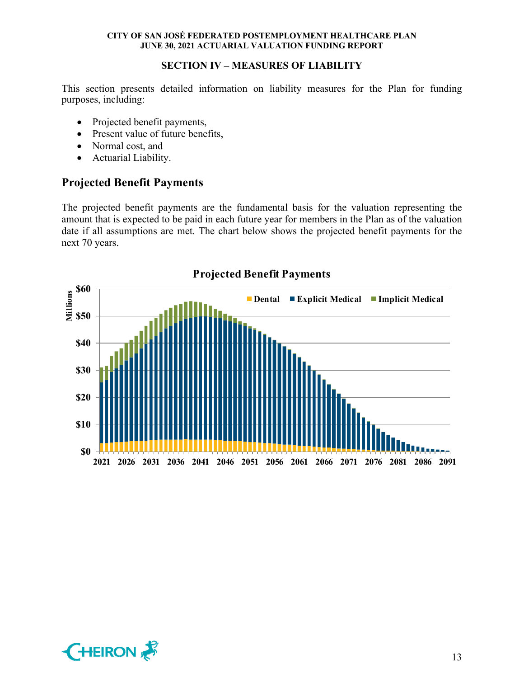# **SECTION IV – MEASURES OF LIABILITY**

This section presents detailed information on liability measures for the Plan for funding purposes, including:

- Projected benefit payments,
- Present value of future benefits,
- Normal cost, and
- Actuarial Liability.

# **Projected Benefit Payments**

The projected benefit payments are the fundamental basis for the valuation representing the amount that is expected to be paid in each future year for members in the Plan as of the valuation date if all assumptions are met. The chart below shows the projected benefit payments for the next 70 years.



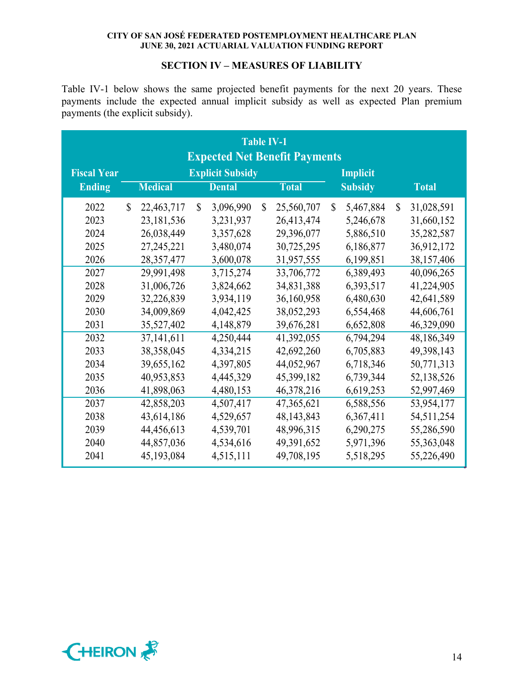# **SECTION IV – MEASURES OF LIABILITY**

Table IV-1 below shows the same projected benefit payments for the next 20 years. These payments include the expected annual implicit subsidy as well as expected Plan premium payments (the explicit subsidy).

| <b>Table IV-1</b><br><b>Expected Net Benefit Payments</b> |              |                         |              |               |              |              |    |                 |    |              |
|-----------------------------------------------------------|--------------|-------------------------|--------------|---------------|--------------|--------------|----|-----------------|----|--------------|
| <b>Fiscal Year</b>                                        |              | <b>Explicit Subsidy</b> |              |               |              |              |    | <b>Implicit</b> |    |              |
| <b>Ending</b>                                             |              | <b>Medical</b>          |              | <b>Dental</b> |              | <b>Total</b> |    | <b>Subsidy</b>  |    | <b>Total</b> |
| 2022                                                      | $\mathbb{S}$ | 22,463,717              | $\mathbb{S}$ | 3,096,990     | $\mathbb{S}$ | 25,560,707   | \$ | 5,467,884       | \$ | 31,028,591   |
| 2023                                                      |              | 23, 181, 536            |              | 3,231,937     |              | 26,413,474   |    | 5,246,678       |    | 31,660,152   |
| 2024                                                      |              | 26,038,449              |              | 3,357,628     |              | 29,396,077   |    | 5,886,510       |    | 35,282,587   |
| 2025                                                      |              | 27, 245, 221            |              | 3,480,074     |              | 30,725,295   |    | 6,186,877       |    | 36,912,172   |
| 2026                                                      |              | 28,357,477              |              | 3,600,078     |              | 31,957,555   |    | 6,199,851       |    | 38,157,406   |
| 2027                                                      |              | 29,991,498              |              | 3,715,274     |              | 33,706,772   |    | 6,389,493       |    | 40,096,265   |
| 2028                                                      |              | 31,006,726              |              | 3,824,662     |              | 34,831,388   |    | 6,393,517       |    | 41,224,905   |
| 2029                                                      |              | 32,226,839              |              | 3,934,119     |              | 36,160,958   |    | 6,480,630       |    | 42,641,589   |
| 2030                                                      |              | 34,009,869              |              | 4,042,425     |              | 38,052,293   |    | 6,554,468       |    | 44,606,761   |
| 2031                                                      |              | 35,527,402              |              | 4,148,879     |              | 39,676,281   |    | 6,652,808       |    | 46,329,090   |
| 2032                                                      |              | 37, 141, 611            |              | 4,250,444     |              | 41,392,055   |    | 6,794,294       |    | 48,186,349   |
| 2033                                                      |              | 38,358,045              |              | 4,334,215     |              | 42,692,260   |    | 6,705,883       |    | 49,398,143   |
| 2034                                                      |              | 39,655,162              |              | 4,397,805     |              | 44,052,967   |    | 6,718,346       |    | 50,771,313   |
| 2035                                                      |              | 40,953,853              |              | 4,445,329     |              | 45,399,182   |    | 6,739,344       |    | 52,138,526   |
| 2036                                                      |              | 41,898,063              |              | 4,480,153     |              | 46,378,216   |    | 6,619,253       |    | 52,997,469   |
| 2037                                                      |              | 42,858,203              |              | 4,507,417     |              | 47,365,621   |    | 6,588,556       |    | 53,954,177   |
| 2038                                                      |              | 43,614,186              |              | 4,529,657     |              | 48, 143, 843 |    | 6,367,411       |    | 54,511,254   |
| 2039                                                      |              | 44,456,613              |              | 4,539,701     |              | 48,996,315   |    | 6,290,275       |    | 55,286,590   |
| 2040                                                      |              | 44,857,036              |              | 4,534,616     |              | 49,391,652   |    | 5,971,396       |    | 55,363,048   |
| 2041                                                      |              | 45,193,084              |              | 4,515,111     |              | 49,708,195   |    | 5,518,295       |    | 55,226,490   |

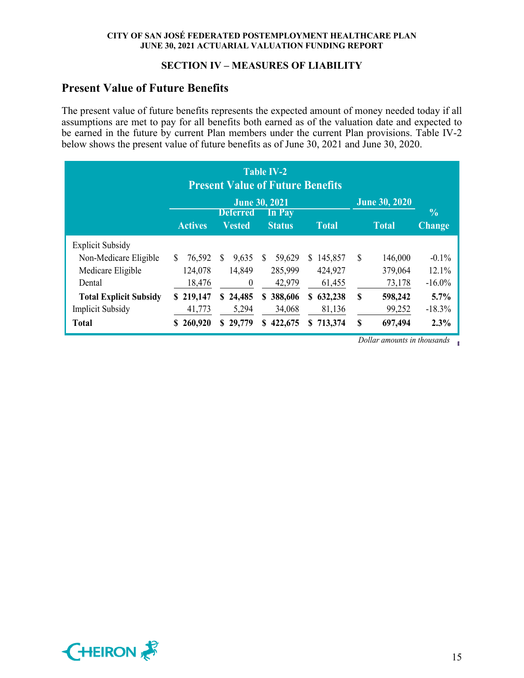## **SECTION IV – MEASURES OF LIABILITY**

# **Present Value of Future Benefits**

The present value of future benefits represents the expected amount of money needed today if all assumptions are met to pay for all benefits both earned as of the valuation date and expected to be earned in the future by current Plan members under the current Plan provisions. Table IV-2 below shows the present value of future benefits as of June 30, 2021 and June 30, 2020.

| <b>Table IV-2</b><br><b>Present Value of Future Benefits</b> |                                              |                 |               |               |                          |               |  |  |  |  |  |  |
|--------------------------------------------------------------|----------------------------------------------|-----------------|---------------|---------------|--------------------------|---------------|--|--|--|--|--|--|
|                                                              | <b>June 30, 2020</b><br><b>June 30, 2021</b> |                 |               |               |                          |               |  |  |  |  |  |  |
|                                                              |                                              | <b>Deferred</b> | In Pay        |               |                          | $\frac{0}{0}$ |  |  |  |  |  |  |
|                                                              | <b>Actives</b>                               | <b>Vested</b>   | <b>Status</b> | <b>Total</b>  | <b>Total</b>             | <b>Change</b> |  |  |  |  |  |  |
| <b>Explicit Subsidy</b>                                      |                                              |                 |               |               |                          |               |  |  |  |  |  |  |
| Non-Medicare Eligible                                        | 76,592<br>S.                                 | \$<br>9,635     | 59,629<br>S   | S.<br>145,857 | <sup>\$</sup><br>146,000 | $-0.1\%$      |  |  |  |  |  |  |
| Medicare Eligible                                            | 124,078                                      | 14,849          | 285,999       | 424,927       | 379,064                  | 12.1%         |  |  |  |  |  |  |
| Dental                                                       | 18,476                                       | 0               | 42,979        | 61,455        | 73,178                   | $-16.0\%$     |  |  |  |  |  |  |
| <b>Total Explicit Subsidy</b>                                | \$219,147                                    | \$24,485        | 388,606<br>\$ | 632,238<br>S. | S<br>598,242             | $5.7\%$       |  |  |  |  |  |  |
| <b>Implicit Subsidy</b>                                      | 41,773                                       | 5,294           | 34,068        | 81,136        | 99,252                   | $-18.3%$      |  |  |  |  |  |  |
| <b>Total</b>                                                 | 260,920                                      | \$29,779        | 422,675<br>\$ | 713,374<br>S. | \$<br>697,494            | 2.3%          |  |  |  |  |  |  |

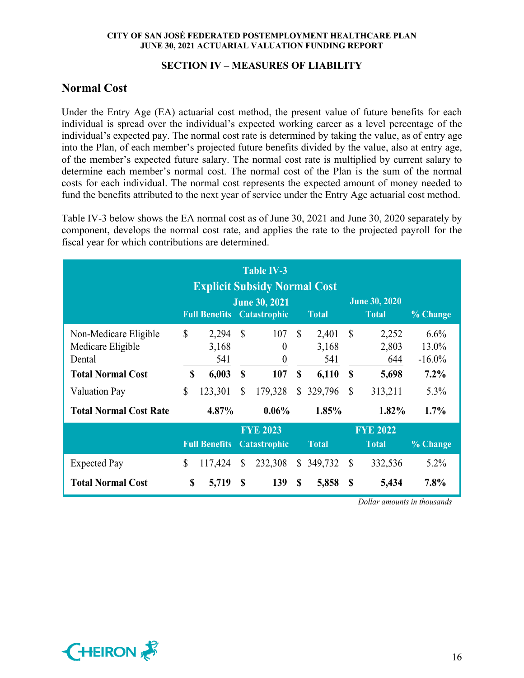## **SECTION IV – MEASURES OF LIABILITY**

# **Normal Cost**

Under the Entry Age (EA) actuarial cost method, the present value of future benefits for each individual is spread over the individual's expected working career as a level percentage of the individual's expected pay. The normal cost rate is determined by taking the value, as of entry age into the Plan, of each member's projected future benefits divided by the value, also at entry age, of the member's expected future salary. The normal cost rate is multiplied by current salary to determine each member's normal cost. The normal cost of the Plan is the sum of the normal costs for each individual. The normal cost represents the expected amount of money needed to fund the benefits attributed to the next year of service under the Entry Age actuarial cost method.

Table IV-3 below shows the EA normal cost as of June 30, 2021 and June 30, 2020 separately by component, develops the normal cost rate, and applies the rate to the projected payroll for the fiscal year for which contributions are determined.

| <b>Table IV-3</b><br><b>Explicit Subsidy Normal Cost</b><br><b>June 30, 2020</b><br><b>June 30, 2021</b><br><b>Full Benefits Catastrophic</b><br>% Change<br><b>Total</b><br><b>Total</b> |                                                                |                |              |                         |    |                |              |                                 |                      |  |  |  |
|-------------------------------------------------------------------------------------------------------------------------------------------------------------------------------------------|----------------------------------------------------------------|----------------|--------------|-------------------------|----|----------------|--------------|---------------------------------|----------------------|--|--|--|
| Non-Medicare Eligible<br>Medicare Eligible                                                                                                                                                | \$                                                             | 2,294<br>3,168 | $\mathbb{S}$ | 107<br>$\theta$         | \$ | 2,401<br>3,168 | $\mathbb{S}$ | 2,252<br>2,803                  | 6.6%<br>13.0%        |  |  |  |
| Dental<br><b>Total Normal Cost</b>                                                                                                                                                        | $\mathbf S$                                                    | 541<br>6,003   | S            | $\boldsymbol{0}$<br>107 | S  | 541<br>6,110   | <b>S</b>     | 644<br>5,698                    | $-16.0\%$<br>$7.2\%$ |  |  |  |
| <b>Valuation Pay</b>                                                                                                                                                                      | \$                                                             | 123,301        | $\mathbb{S}$ | 179,328                 | \$ | 329,796        | $\mathbb{S}$ | 313,211                         | 5.3%                 |  |  |  |
| <b>Total Normal Cost Rate</b>                                                                                                                                                             |                                                                | 4.87%          |              | $0.06\%$<br>1.85%       |    |                |              | $1.82\%$                        | $1.7\%$              |  |  |  |
|                                                                                                                                                                                           | <b>FYE 2023</b><br><b>Full Benefits</b><br><b>Catastrophic</b> |                |              |                         |    | <b>Total</b>   |              | <b>FYE 2022</b><br><b>Total</b> | % Change             |  |  |  |
| <b>Expected Pay</b>                                                                                                                                                                       | \$                                                             | 117,424        | \$           | 232,308                 | \$ | 349,732        | $\mathbb{S}$ | 332,536                         | $5.2\%$              |  |  |  |
| <b>Total Normal Cost</b>                                                                                                                                                                  | $\mathbf S$                                                    | 5,719          | \$           | 139                     | \$ | 5,858          | \$           | 5,434                           | 7.8%                 |  |  |  |

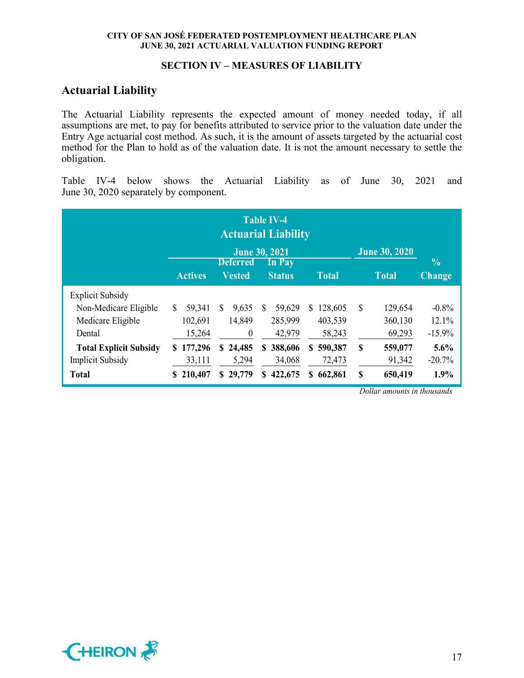## **SECTION IV – MEASURES OF LIABILITY**

# **Actuarial Liability**

The Actuarial Liability represents the expected amount of money needed today, if all assumptions are met, to pay for benefits attributed to service prior to the valuation date under the Entry Age actuarial cost method. As such, it is the amount of assets targeted by the actuarial cost method for the Plan to hold as of the valuation date. It is not the amount necessary to settle the obligation.

Table IV-4 below shows the Actuarial Liability as of June 30, 2021 and June 30, 2020 separately by component.

| <b>Table IV-4</b><br><b>Actuarial Liability</b> |                |                  |               |               |    |              |               |  |  |  |  |  |
|-------------------------------------------------|----------------|------------------|---------------|---------------|----|--------------|---------------|--|--|--|--|--|
| <b>June 30, 2020</b><br><b>June 30, 2021</b>    |                |                  |               |               |    |              |               |  |  |  |  |  |
|                                                 |                | <b>Deferred</b>  | In Pay        |               |    |              | $\frac{0}{0}$ |  |  |  |  |  |
|                                                 | <b>Actives</b> | <b>Vested</b>    | <b>Status</b> | <b>Total</b>  |    | <b>Total</b> | <b>Change</b> |  |  |  |  |  |
| <b>Explicit Subsidy</b>                         |                |                  |               |               |    |              |               |  |  |  |  |  |
| Non-Medicare Eligible                           | S.<br>59,341   | S<br>9,635       | 59,629<br>S   | 128,605<br>S  | \$ | 129,654      | $-0.8\%$      |  |  |  |  |  |
| Medicare Eligible                               | 102,691        | 14,849           | 285,999       | 403,539       |    | 360,130      | 12.1%         |  |  |  |  |  |
| Dental                                          | 15,264         | $\boldsymbol{0}$ | 42,979        | 58,243        |    | 69,293       | $-15.9%$      |  |  |  |  |  |
| <b>Total Explicit Subsidy</b>                   | 177,296<br>S.  | \$24,485         | 388,606<br>S  | 590,387<br>S. | \$ | 559,077      | 5.6%          |  |  |  |  |  |
| <b>Implicit Subsidy</b>                         | 33,111         | 5,294            | 34,068        | 72,473        |    | 91,342       | $-20.7%$      |  |  |  |  |  |
| <b>Total</b>                                    | 210,407<br>S.  | \$29,779         | 422,675<br>S  | 662,861<br>S  | \$ | 650,419      | 1.9%          |  |  |  |  |  |

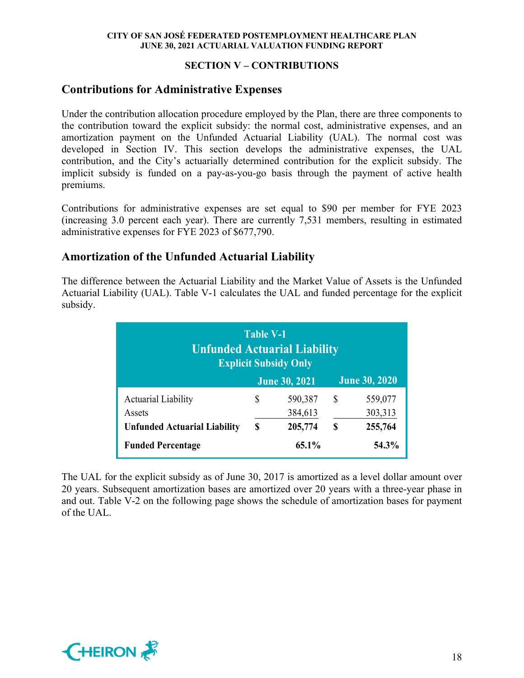# **SECTION V – CONTRIBUTIONS**

# **Contributions for Administrative Expenses**

Under the contribution allocation procedure employed by the Plan, there are three components to the contribution toward the explicit subsidy: the normal cost, administrative expenses, and an amortization payment on the Unfunded Actuarial Liability (UAL). The normal cost was developed in Section IV. This section develops the administrative expenses, the UAL contribution, and the City's actuarially determined contribution for the explicit subsidy. The implicit subsidy is funded on a pay-as-you-go basis through the payment of active health premiums.

Contributions for administrative expenses are set equal to \$90 per member for FYE 2023 (increasing 3.0 percent each year). There are currently 7,531 members, resulting in estimated administrative expenses for FYE 2023 of \$677,790.

# **Amortization of the Unfunded Actuarial Liability**

The difference between the Actuarial Liability and the Market Value of Assets is the Unfunded Actuarial Liability (UAL). Table V-1 calculates the UAL and funded percentage for the explicit subsidy.

| <b>Table V-1</b><br><b>Unfunded Actuarial Liability</b><br><b>Explicit Subsidy Only</b> |    |                      |    |               |  |  |  |  |  |  |
|-----------------------------------------------------------------------------------------|----|----------------------|----|---------------|--|--|--|--|--|--|
|                                                                                         |    | <b>June 30, 2021</b> |    | June 30, 2020 |  |  |  |  |  |  |
| <b>Actuarial Liability</b>                                                              | \$ | 590,387              | \$ | 559,077       |  |  |  |  |  |  |
| Assets                                                                                  |    | 384,613              |    | 303,313       |  |  |  |  |  |  |
| <b>Unfunded Actuarial Liability</b><br>205,774<br>255,764<br>\$<br>\$                   |    |                      |    |               |  |  |  |  |  |  |
| 65.1%<br><b>Funded Percentage</b><br>54.3%                                              |    |                      |    |               |  |  |  |  |  |  |

The UAL for the explicit subsidy as of June 30, 2017 is amortized as a level dollar amount over 20 years. Subsequent amortization bases are amortized over 20 years with a three-year phase in and out. Table V-2 on the following page shows the schedule of amortization bases for payment of the UAL.

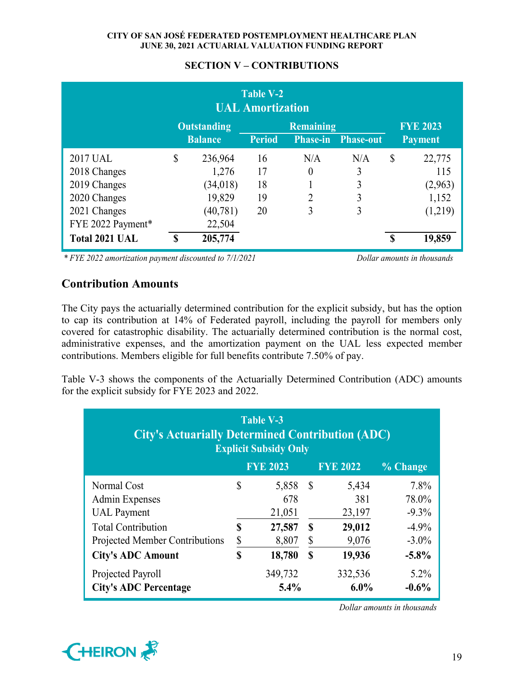| Table V-2<br><b>UAL Amortization</b> |    |                 |               |                  |                  |    |                |  |  |  |  |  |
|--------------------------------------|----|-----------------|---------------|------------------|------------------|----|----------------|--|--|--|--|--|
|                                      |    | <b>FYE 2023</b> |               |                  |                  |    |                |  |  |  |  |  |
|                                      |    | <b>Balance</b>  | <b>Period</b> | <b>Phase-in</b>  | <b>Phase-out</b> |    | <b>Payment</b> |  |  |  |  |  |
| 2017 UAL                             | \$ | 236,964         | 16            | N/A              | N/A              | \$ | 22,775         |  |  |  |  |  |
| 2018 Changes                         |    | 1,276           | 17            | $\boldsymbol{0}$ | 3                |    | 115            |  |  |  |  |  |
| 2019 Changes                         |    | (34, 018)       | 18            |                  | 3                |    | (2,963)        |  |  |  |  |  |
| 2020 Changes                         |    | 19,829          | 19            | $\overline{2}$   | 3                |    | 1,152          |  |  |  |  |  |
| 2021 Changes                         |    | (40, 781)       | 20            | 3                | 3                |    | (1,219)        |  |  |  |  |  |
| FYE 2022 Payment*                    |    | 22,504          |               |                  |                  |    |                |  |  |  |  |  |
| Total 2021 UAL                       |    | 205,774         |               |                  |                  |    | 19,859         |  |  |  |  |  |

# **SECTION V – CONTRIBUTIONS**

*\* FYE 2022 amortization payment discounted to 7/1/2021 Dollar amounts in thousands*

**Contribution Amounts** 

The City pays the actuarially determined contribution for the explicit subsidy, but has the option to cap its contribution at 14% of Federated payroll, including the payroll for members only covered for catastrophic disability. The actuarially determined contribution is the normal cost, administrative expenses, and the amortization payment on the UAL less expected member contributions. Members eligible for full benefits contribute 7.50% of pay.

Table V-3 shows the components of the Actuarially Determined Contribution (ADC) amounts for the explicit subsidy for FYE 2023 and 2022.

| <b>Table V-3</b><br><b>City's Actuarially Determined Contribution (ADC)</b><br><b>Explicit Subsidy Only</b>                                           |                           |                                                     |                                           |                                                     |                                                              |  |  |  |  |  |
|-------------------------------------------------------------------------------------------------------------------------------------------------------|---------------------------|-----------------------------------------------------|-------------------------------------------|-----------------------------------------------------|--------------------------------------------------------------|--|--|--|--|--|
|                                                                                                                                                       |                           | <b>FYE 2023</b>                                     |                                           | <b>FYE 2022</b>                                     | $\%$ Change                                                  |  |  |  |  |  |
| Normal Cost<br>Admin Expenses<br><b>UAL</b> Payment<br><b>Total Contribution</b><br><b>Projected Member Contributions</b><br><b>City's ADC Amount</b> | \$<br>S<br>\$<br><b>S</b> | 5,858<br>678<br>21,051<br>27,587<br>8,807<br>18,780 | $\mathcal{S}$<br>S<br>\$<br><sup>\$</sup> | 5,434<br>381<br>23,197<br>29,012<br>9,076<br>19,936 | 7.8%<br>78.0%<br>$-9.3%$<br>$-4.9\%$<br>$-3.0\%$<br>$-5.8\%$ |  |  |  |  |  |
| Projected Payroll<br><b>City's ADC Percentage</b>                                                                                                     |                           | 349,732<br>5.4%                                     |                                           | 332,536<br>$6.0\%$                                  | $5.2\%$<br>$-0.6\%$                                          |  |  |  |  |  |

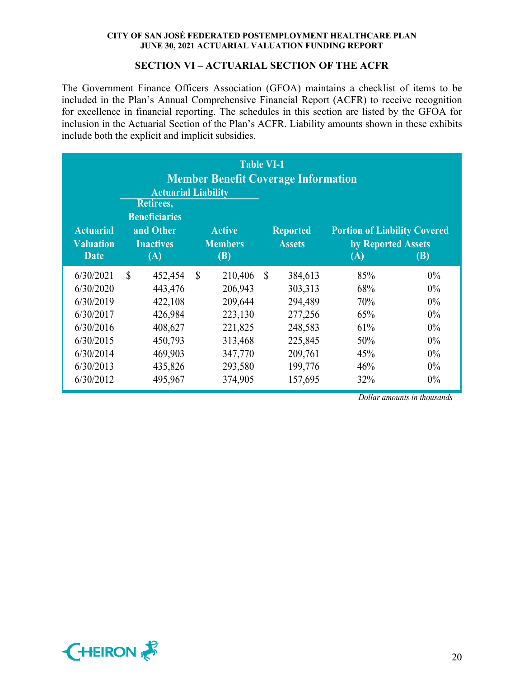## **SECTION VI – ACTUARIAL SECTION OF THE ACFR**

The Government Finance Officers Association (GFOA) maintains a checklist of items to be included in the Plan's Annual Comprehensive Financial Report (ACFR) to receive recognition for excellence in financial reporting. The schedules in this section are listed by the GFOA for inclusion in the Actuarial Section of the Plan's ACFR. Liability amounts shown in these exhibits include both the explicit and implicit subsidies.

|                                                     | <b>Actuarial Liability</b>                                                       |   | <b>Table VI-1</b><br><b>Member Benefit Coverage Information</b> |              |                                  |                                                                  |                |
|-----------------------------------------------------|----------------------------------------------------------------------------------|---|-----------------------------------------------------------------|--------------|----------------------------------|------------------------------------------------------------------|----------------|
| <b>Actuarial</b><br><b>Valuation</b><br><b>Date</b> | <b>Retirees,</b><br><b>Beneficiaries</b><br>and Other<br><b>Inactives</b><br>(A) |   | <b>Active</b><br><b>Members</b><br>(B)                          |              | <b>Reported</b><br><b>Assets</b> | <b>Portion of Liability Covered</b><br>by Reported Assets<br>(A) | $\mathbf{(B)}$ |
| 6/30/2021                                           | \$<br>452,454                                                                    | S | 210,406                                                         | $\mathbb{S}$ | 384,613                          | 85%                                                              | $0\%$          |
| 6/30/2020                                           | 443,476                                                                          |   | 206,943                                                         |              | 303,313                          | 68%                                                              | $0\%$          |
| 6/30/2019                                           | 422,108                                                                          |   | 209,644                                                         |              | 294,489                          | 70%                                                              | $0\%$          |
| 6/30/2017                                           | 426,984                                                                          |   | 223,130                                                         |              | 277,256                          | 65%                                                              | $0\%$          |
| 6/30/2016                                           | 408,627                                                                          |   | 221,825                                                         |              | 248,583                          | 61%                                                              | $0\%$          |
| 6/30/2015                                           | 450,793                                                                          |   | 313,468                                                         |              | 225,845                          | 50%                                                              | $0\%$          |
| 6/30/2014                                           | 469,903                                                                          |   | 347,770                                                         |              | 209,761                          | 45%                                                              | $0\%$          |
| 6/30/2013                                           | 435,826                                                                          |   | 293,580                                                         |              | 199,776                          | 46%                                                              | $0\%$          |
| 6/30/2012                                           | 495,967                                                                          |   | 374,905                                                         |              | 157,695                          | 32%                                                              | $0\%$          |

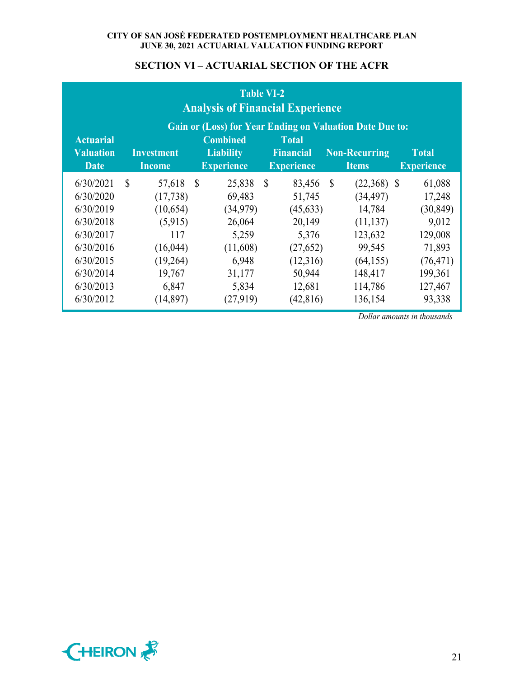# **SECTION VI – ACTUARIAL SECTION OF THE ACFR**

| <b>Table VI-2</b><br><b>Analysis of Financial Experience</b>                                                                   |                                                                                                                              |                                                                                                        |                                                                                                            |                                                                                                                           |                                                                                                          |  |  |  |  |
|--------------------------------------------------------------------------------------------------------------------------------|------------------------------------------------------------------------------------------------------------------------------|--------------------------------------------------------------------------------------------------------|------------------------------------------------------------------------------------------------------------|---------------------------------------------------------------------------------------------------------------------------|----------------------------------------------------------------------------------------------------------|--|--|--|--|
| <b>Actuarial</b><br><b>Valuation</b><br><b>Date</b>                                                                            | <b>Investment</b><br><b>Income</b>                                                                                           | <b>Combined</b><br><b>Liability</b><br><b>Experience</b>                                               | <b>Total</b><br><b>Financial</b><br><b>Experience</b>                                                      | <b>Gain or (Loss) for Year Ending on Valuation Date Due to:</b><br><b>Non-Recurring</b><br><b>Items</b>                   | <b>Total</b><br><b>Experience</b>                                                                        |  |  |  |  |
| 6/30/2021<br>6/30/2020<br>6/30/2019<br>6/30/2018<br>6/30/2017<br>6/30/2016<br>6/30/2015<br>6/30/2014<br>6/30/2013<br>6/30/2012 | <sup>\$</sup><br>57,618 \$<br>(17, 738)<br>(10,654)<br>(5,915)<br>117<br>(16,044)<br>(19,264)<br>19,767<br>6,847<br>(14,897) | 25,838 \$<br>69,483<br>(34,979)<br>26,064<br>5,259<br>(11,608)<br>6,948<br>31,177<br>5,834<br>(27,919) | 83,456<br>51,745<br>(45, 633)<br>20,149<br>5,376<br>(27, 652)<br>(12,316)<br>50,944<br>12,681<br>(42, 816) | $(22,368)$ \$<br>S<br>(34, 497)<br>14,784<br>(11, 137)<br>123,632<br>99,545<br>(64, 155)<br>148,417<br>114,786<br>136,154 | 61,088<br>17,248<br>(30, 849)<br>9,012<br>129,008<br>71,893<br>(76, 471)<br>199,361<br>127,467<br>93,338 |  |  |  |  |

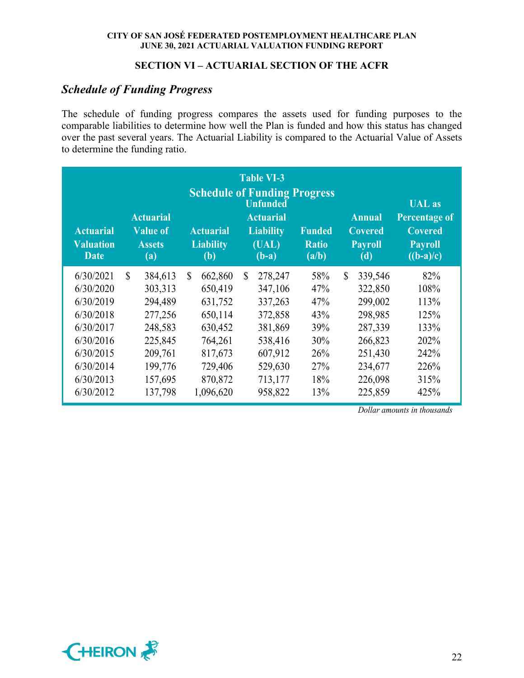## **SECTION VI – ACTUARIAL SECTION OF THE ACFR**

# *Schedule of Funding Progress*

The schedule of funding progress compares the assets used for funding purposes to the comparable liabilities to determine how well the Plan is funded and how this status has changed over the past several years. The Actuarial Liability is compared to the Actuarial Value of Assets to determine the funding ratio.

| <b>Actuarial</b><br><b>Valuation</b><br>Date |               | <b>Actuarial</b><br><b>Value of</b><br><b>Assets</b><br>$\left( \mathbf{a}\right)$ | <b>Actuarial</b><br><b>Liability</b><br><b>(b)</b> | <b>Table VI-3</b><br><b>Schedule of Funding Progress</b><br><b>Unfunded</b><br><b>Actuarial</b><br><b>Liability</b><br>(UAL)<br>$(b-a)$ | <b>Funded</b><br><b>Ratio</b><br>(a/b) |     | <b>Annual</b><br><b>Covered</b><br><b>Payroll</b><br>(d) | <b>UAL</b> as<br><b>Percentage of</b><br><b>Covered</b><br><b>Payroll</b><br>$((b-a)/c)$ |
|----------------------------------------------|---------------|------------------------------------------------------------------------------------|----------------------------------------------------|-----------------------------------------------------------------------------------------------------------------------------------------|----------------------------------------|-----|----------------------------------------------------------|------------------------------------------------------------------------------------------|
| 6/30/2021                                    | $\mathcal{S}$ | 384,613                                                                            | \$<br>662,860                                      | \$<br>278,247                                                                                                                           |                                        | 58% | \$<br>339,546                                            | 82%                                                                                      |
| 6/30/2020                                    |               | 303,313                                                                            | 650,419                                            | 347,106                                                                                                                                 |                                        | 47% | 322,850                                                  | 108%                                                                                     |
| 6/30/2019                                    |               | 294,489                                                                            | 631,752                                            | 337,263                                                                                                                                 |                                        | 47% | 299,002                                                  | 113%                                                                                     |
| 6/30/2018                                    |               | 277,256                                                                            | 650,114                                            | 372,858                                                                                                                                 |                                        | 43% | 298,985                                                  | 125%                                                                                     |
| 6/30/2017                                    |               | 248,583                                                                            | 630,452                                            | 381,869                                                                                                                                 |                                        | 39% | 287,339                                                  | 133%                                                                                     |
| 6/30/2016                                    |               | 225,845                                                                            | 764,261                                            | 538,416                                                                                                                                 |                                        | 30% | 266,823                                                  | 202%                                                                                     |
| 6/30/2015                                    |               | 209,761                                                                            | 817,673                                            | 607,912                                                                                                                                 |                                        | 26% | 251,430                                                  | 242%                                                                                     |
| 6/30/2014                                    |               | 199,776                                                                            | 729,406                                            | 529,630                                                                                                                                 |                                        | 27% | 234,677                                                  | 226%                                                                                     |
| 6/30/2013                                    |               | 157,695                                                                            | 870,872                                            | 713,177                                                                                                                                 |                                        | 18% | 226,098                                                  | 315%                                                                                     |
| 6/30/2012                                    |               | 137,798                                                                            | 1,096,620                                          | 958,822                                                                                                                                 |                                        | 13% | 225,859                                                  | 425%                                                                                     |

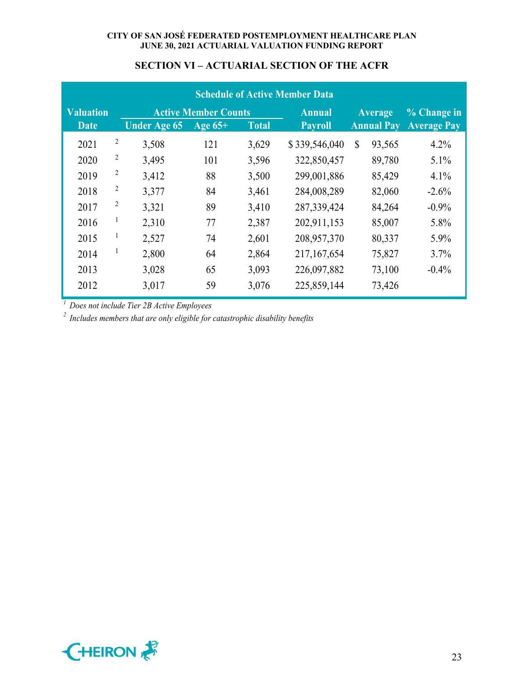|                  | <b>Schedule of Active Member Data</b> |                     |                             |              |                |    |                   |                    |  |  |  |
|------------------|---------------------------------------|---------------------|-----------------------------|--------------|----------------|----|-------------------|--------------------|--|--|--|
| <b>Valuation</b> |                                       |                     | <b>Active Member Counts</b> |              | <b>Annual</b>  |    | <b>Average</b>    | % Change in        |  |  |  |
| <b>Date</b>      |                                       | <b>Under Age 65</b> | Age $65+$                   | <b>Total</b> | <b>Payroll</b> |    | <b>Annual Pay</b> | <b>Average Pay</b> |  |  |  |
| 2021             | 2                                     | 3,508               | 121                         | 3,629        | \$339,546,040  | \$ | 93,565            | 4.2%               |  |  |  |
| 2020             | $\overline{\mathbf{c}}$               | 3,495               | 101                         | 3,596        | 322,850,457    |    | 89,780            | 5.1%               |  |  |  |
| 2019             | $\overline{c}$                        | 3,412               | 88                          | 3,500        | 299,001,886    |    | 85,429            | 4.1%               |  |  |  |
| 2018             | 2                                     | 3,377               | 84                          | 3,461        | 284,008,289    |    | 82,060            | $-2.6%$            |  |  |  |
| 2017             | $\overline{\mathbf{c}}$               | 3,321               | 89                          | 3,410        | 287, 339, 424  |    | 84,264            | $-0.9\%$           |  |  |  |
| 2016             | 1                                     | 2,310               | 77                          | 2,387        | 202,911,153    |    | 85,007            | 5.8%               |  |  |  |
| 2015             | $\mathbf{1}$                          | 2,527               | 74                          | 2,601        | 208,957,370    |    | 80,337            | 5.9%               |  |  |  |
| 2014             | 1                                     | 2,800               | 64                          | 2,864        | 217,167,654    |    | 75,827            | 3.7%               |  |  |  |
| 2013             |                                       | 3,028               | 65                          | 3,093        | 226,097,882    |    | 73,100            | $-0.4%$            |  |  |  |
| 2012             |                                       | 3,017               | 59                          | 3,076        | 225,859,144    |    | 73,426            |                    |  |  |  |

# **SECTION VI – ACTUARIAL SECTION OF THE ACFR**

*1 Does not include Tier 2B Active Employees*

*2 Includes members that are only eligible for catastrophic disability benefits*

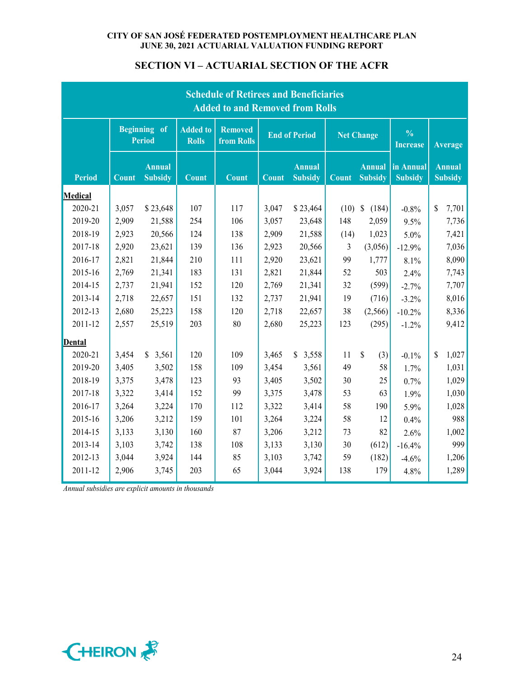# **SECTION VI – ACTUARIAL SECTION OF THE ACFR**

|               | <b>Schedule of Retirees and Beneficiaries</b><br><b>Added to and Removed from Rolls</b> |                                      |                                 |                              |                      |                                 |                |                                 |                                  |                                 |  |  |
|---------------|-----------------------------------------------------------------------------------------|--------------------------------------|---------------------------------|------------------------------|----------------------|---------------------------------|----------------|---------------------------------|----------------------------------|---------------------------------|--|--|
|               |                                                                                         | <b>Beginning</b> of<br><b>Period</b> | <b>Added to</b><br><b>Rolls</b> | <b>Removed</b><br>from Rolls | <b>End of Period</b> |                                 |                | <b>Net Change</b>               | $\frac{0}{0}$<br><b>Increase</b> | <b>Average</b>                  |  |  |
| <b>Period</b> | <b>Count</b>                                                                            | <b>Annual</b><br><b>Subsidy</b>      | <b>Count</b>                    | <b>Count</b>                 | <b>Count</b>         | <b>Annual</b><br><b>Subsidy</b> | <b>Count</b>   | <b>Annual</b><br><b>Subsidy</b> | in Annual<br><b>Subsidy</b>      | <b>Annual</b><br><b>Subsidy</b> |  |  |
| Medical       |                                                                                         |                                      |                                 |                              |                      |                                 |                |                                 |                                  |                                 |  |  |
| 2020-21       | 3,057                                                                                   | \$23,648                             | 107                             | 117                          | 3,047                | \$23,464                        | $(10)$ \$      | (184)                           | $-0.8%$                          | \$<br>7,701                     |  |  |
| 2019-20       | 2,909                                                                                   | 21,588                               | 254                             | 106                          | 3,057                | 23,648                          | 148            | 2,059                           | 9.5%                             | 7,736                           |  |  |
| 2018-19       | 2,923                                                                                   | 20,566                               | 124                             | 138                          | 2,909                | 21,588                          | (14)           | 1,023                           | 5.0%                             | 7,421                           |  |  |
| 2017-18       | 2,920                                                                                   | 23,621                               | 139                             | 136                          | 2,923                | 20,566                          | $\mathfrak{Z}$ | (3,056)                         | $-12.9%$                         | 7,036                           |  |  |
| 2016-17       | 2,821                                                                                   | 21,844                               | 210                             | 111                          | 2,920                | 23,621                          | 99             | 1,777                           | 8.1%                             | 8,090                           |  |  |
| 2015-16       | 2,769                                                                                   | 21,341                               | 183                             | 131                          | 2,821                | 21,844                          | 52             | 503                             | 2.4%                             | 7,743                           |  |  |
| 2014-15       | 2,737                                                                                   | 21,941                               | 152                             | 120                          | 2,769                | 21,341                          | 32             | (599)                           | $-2.7%$                          | 7,707                           |  |  |
| 2013-14       | 2,718                                                                                   | 22,657                               | 151                             | 132                          | 2,737                | 21,941                          | 19             | (716)                           | $-3.2%$                          | 8,016                           |  |  |
| 2012-13       | 2,680                                                                                   | 25,223                               | 158                             | 120                          | 2,718                | 22,657                          | 38             | (2,566)                         | $-10.2\%$                        | 8,336                           |  |  |
| 2011-12       | 2,557                                                                                   | 25,519                               | 203                             | 80                           | 2,680                | 25,223                          | 123            | (295)                           | $-1.2%$                          | 9,412                           |  |  |
| Dental        |                                                                                         |                                      |                                 |                              |                      |                                 |                |                                 |                                  |                                 |  |  |
| 2020-21       | 3,454                                                                                   | \$3,561                              | 120                             | 109                          | 3,465                | 3,558<br>$\mathbb{S}$           | 11             | $\mathbb{S}$<br>(3)             | $-0.1%$                          | \$<br>1,027                     |  |  |
| 2019-20       | 3,405                                                                                   | 3,502                                | 158                             | 109                          | 3,454                | 3,561                           | 49             | 58                              | 1.7%                             | 1,031                           |  |  |
| 2018-19       | 3,375                                                                                   | 3,478                                | 123                             | 93                           | 3,405                | 3,502                           | 30             | 25                              | 0.7%                             | 1,029                           |  |  |
| 2017-18       | 3,322                                                                                   | 3,414                                | 152                             | 99                           | 3,375                | 3,478                           | 53             | 63                              | 1.9%                             | 1,030                           |  |  |
| 2016-17       | 3,264                                                                                   | 3,224                                | 170                             | 112                          | 3,322                | 3,414                           | 58             | 190                             | 5.9%                             | 1,028                           |  |  |
| 2015-16       | 3,206                                                                                   | 3,212                                | 159                             | 101                          | 3,264                | 3,224                           | 58             | 12                              | 0.4%                             | 988                             |  |  |
| 2014-15       | 3,133                                                                                   | 3,130                                | 160                             | 87                           | 3,206                | 3,212                           | 73             | 82                              | 2.6%                             | 1,002                           |  |  |
| 2013-14       | 3,103                                                                                   | 3,742                                | 138                             | 108                          | 3,133                | 3,130                           | 30             | (612)                           | $-16.4%$                         | 999                             |  |  |
| 2012-13       | 3,044                                                                                   | 3,924                                | 144                             | 85                           | 3,103                | 3,742                           | 59             | (182)                           | $-4.6%$                          | 1,206                           |  |  |
| 2011-12       | 2,906                                                                                   | 3,745                                | 203                             | 65                           | 3,044                | 3,924                           | 138            | 179                             | 4.8%                             | 1,289                           |  |  |

*Annual subsidies are explicit amounts in thousands*

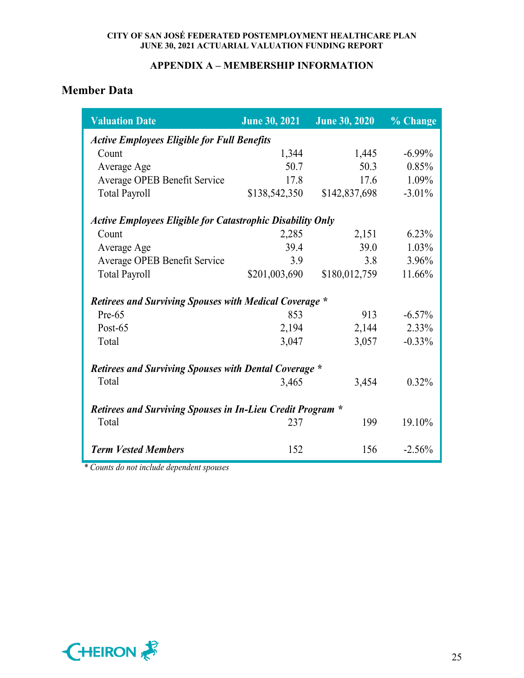# **APPENDIX A – MEMBERSHIP INFORMATION**

# **Member Data**

| <b>Valuation Date</b>                                             | <b>June 30, 2021</b> | <b>June 30, 2020</b> | % Change  |
|-------------------------------------------------------------------|----------------------|----------------------|-----------|
| <b>Active Employees Eligible for Full Benefits</b>                |                      |                      |           |
| Count                                                             | 1,344                | 1,445                | $-6.99\%$ |
| Average Age                                                       | 50.7                 | 50.3                 | 0.85%     |
| Average OPEB Benefit Service                                      | 17.8                 | 17.6                 | 1.09%     |
| <b>Total Payroll</b>                                              | \$138,542,350        | \$142,837,698        | $-3.01%$  |
| <b>Active Employees Eligible for Catastrophic Disability Only</b> |                      |                      |           |
| Count                                                             | 2,285                | 2,151                | 6.23%     |
| Average Age                                                       | 39.4                 | 39.0                 | 1.03%     |
| Average OPEB Benefit Service                                      | 3.9                  | 3.8                  | 3.96%     |
| <b>Total Payroll</b>                                              | \$201,003,690        | \$180,012,759        | 11.66%    |
| <b>Retirees and Surviving Spouses with Medical Coverage *</b>     |                      |                      |           |
| $Pre-65$                                                          | 853                  | 913                  | $-6.57%$  |
| Post-65                                                           | 2,194                | 2,144                | 2.33%     |
| Total                                                             | 3,047                | 3,057                | $-0.33%$  |
| <b>Retirees and Surviving Spouses with Dental Coverage *</b>      |                      |                      |           |
| Total                                                             | 3,465                | 3,454                | 0.32%     |
| <b>Retirees and Surviving Spouses in In-Lieu Credit Program *</b> |                      |                      |           |
| Total                                                             | 237                  | 199                  | 19.10%    |
| <b>Term Vested Members</b>                                        | 152                  | 156                  | $-2.56%$  |

*\* Counts do not include dependent spouses*

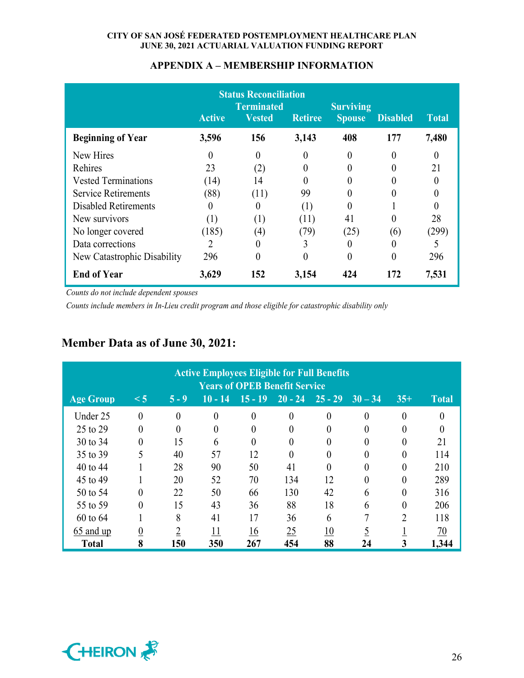|                             | <b>Active</b> | <b>Status Reconciliation</b><br><b>Terminated</b><br><b>Vested</b> | <b>Retiree</b> | <b>Surviving</b><br><b>Spouse</b> | <b>Disabled</b> | <b>Total</b> |
|-----------------------------|---------------|--------------------------------------------------------------------|----------------|-----------------------------------|-----------------|--------------|
| <b>Beginning of Year</b>    | 3,596         | 156                                                                | 3,143          | 408                               | 177             | 7,480        |
| New Hires                   | 0             | $\overline{0}$                                                     |                | $\Omega$                          |                 |              |
| Rehires                     | 23            | (2)                                                                |                |                                   |                 | 21           |
| <b>Vested Terminations</b>  | (14)          | 14                                                                 |                |                                   |                 |              |
| <b>Service Retirements</b>  | (88)          | (11)                                                               | 99             |                                   |                 |              |
| <b>Disabled Retirements</b> | $\theta$      | $\theta$                                                           | (1)            |                                   |                 |              |
| New survivors               |               | (1)                                                                | (11)           | 41                                | 0               | 28           |
| No longer covered           | (185)         | (4)                                                                | (79)           | (25)                              | (6)             | (299)        |
| Data corrections            |               | 0                                                                  | 3              |                                   | $\theta$        | 5            |
| New Catastrophic Disability | 296           | 0                                                                  | 0              | 0                                 | 0               | 296          |
| <b>End of Year</b>          | 3,629         | 152                                                                | 3,154          | 424                               | 172             | 7,531        |

# **APPENDIX A – MEMBERSHIP INFORMATION**

*Counts do not include dependent spouses*

*Counts include members in In-Lieu credit program and those eligible for catastrophic disability only*

# **Member Data as of June 30, 2021:**

| <b>Active Employees Eligible for Full Benefits</b><br><b>Years of OPEB Benefit Service</b> |          |                    |           |           |           |           |           |                |              |
|--------------------------------------------------------------------------------------------|----------|--------------------|-----------|-----------|-----------|-----------|-----------|----------------|--------------|
| <b>Age Group</b>                                                                           | $\leq 5$ | $\overline{5} - 9$ | $10 - 14$ | $15 - 19$ | $20 - 24$ | $25 - 29$ | $30 - 34$ | $35+$          | <b>Total</b> |
| Under 25                                                                                   | $\theta$ | $\theta$           |           | $\Omega$  | $\Omega$  | 0         | 0         | 0              |              |
| 25 to 29                                                                                   | $\theta$ |                    |           | 0         |           |           |           | 0              |              |
| 30 to 34                                                                                   | 0        | 15                 | 6         | $\Omega$  | 0         | 0         |           | 0              | 21           |
| 35 to 39                                                                                   | 5        | 40                 | 57        | 12        |           |           |           | 0              | 114          |
| 40 to 44                                                                                   |          | 28                 | 90        | 50        | 41        | 0         |           | 0              | 210          |
| 45 to 49                                                                                   |          | 20                 | 52        | 70        | 134       | 12        |           | 0              | 289          |
| 50 to 54                                                                                   | 0        | 22                 | 50        | 66        | 130       | 42        | 6         | 0              | 316          |
| 55 to 59                                                                                   | $\theta$ | 15                 | 43        | 36        | 88        | 18        | 6         | 0              | 206          |
| 60 to 64                                                                                   |          | 8                  | 41        | 17        | 36        | 6         |           | $\overline{2}$ | 118          |
| 65 and up                                                                                  |          | $\overline{2}$     | 11        | 16        | 25        | 10        |           |                | 70           |
| <b>Total</b>                                                                               | 8        | 150                | 350       | 267       | 454       | 88        | 24        | 3              | 1,344        |

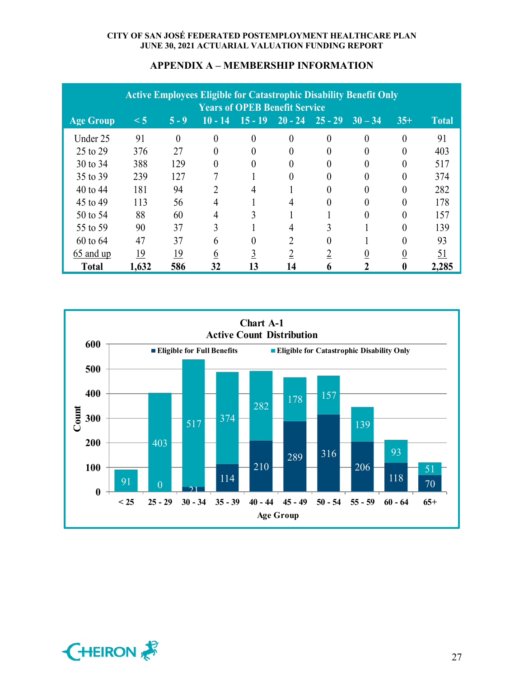| <b>Active Employees Eligible for Catastrophic Disability Benefit Only</b><br><b>Years of OPEB Benefit Service</b> |       |          |           |           |           |           |           |       |       |
|-------------------------------------------------------------------------------------------------------------------|-------|----------|-----------|-----------|-----------|-----------|-----------|-------|-------|
| <b>Age Group</b>                                                                                                  | < 5   | $5 - 9$  | $10 - 14$ | $15 - 19$ | $20 - 24$ | $25 - 29$ | $30 - 34$ | $35+$ | Total |
| Under 25                                                                                                          | 91    | $\Omega$ |           |           |           |           |           |       | 91    |
| 25 to 29                                                                                                          | 376   | 27       |           |           |           |           |           |       | 403   |
| 30 to 34                                                                                                          | 388   | 129      |           |           |           |           |           |       | 517   |
| 35 to 39                                                                                                          | 239   | 127      |           |           |           |           |           |       | 374   |
| 40 to 44                                                                                                          | 181   | 94       |           |           |           |           |           |       | 282   |
| 45 to 49                                                                                                          | 113   | 56       |           |           |           |           |           |       | 178   |
| 50 to 54                                                                                                          | 88    | 60       |           |           |           |           |           |       | 157   |
| 55 to 59                                                                                                          | 90    | 37       | 3         |           |           |           |           |       | 139   |
| $60$ to $64$                                                                                                      | 47    | 37       |           |           |           |           |           |       | 93    |
| 65 and up                                                                                                         | 19    | 19       |           |           |           |           |           |       | 51    |
| <b>Total</b>                                                                                                      | 1,632 | 586      | 32        | 13        | 14        |           |           |       | 2,285 |

## **APPENDIX A – MEMBERSHIP INFORMATION**



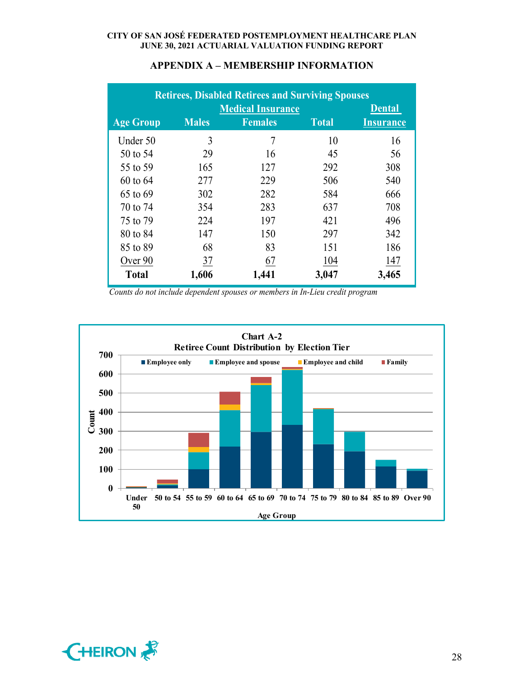|                     | <b>Retirees, Disabled Retirees and Surviving Spouses</b><br><b>Medical Insurance</b><br><b>Dental</b> |                |              |                  |  |  |  |  |  |  |  |
|---------------------|-------------------------------------------------------------------------------------------------------|----------------|--------------|------------------|--|--|--|--|--|--|--|
| <b>Age Group</b>    | <b>Males</b>                                                                                          | <b>Females</b> | <b>Total</b> | <b>Insurance</b> |  |  |  |  |  |  |  |
| Under 50            | 3                                                                                                     | 7              | 10           | 16               |  |  |  |  |  |  |  |
| 50 to 54            | 29                                                                                                    | 16             | 45           | 56               |  |  |  |  |  |  |  |
| 55 to 59            | 165                                                                                                   | 127            | 292          | 308              |  |  |  |  |  |  |  |
| $60 \text{ to } 64$ | 277                                                                                                   | 229            | 506          | 540              |  |  |  |  |  |  |  |
| 65 to 69            | 302                                                                                                   | 282            | 584          | 666              |  |  |  |  |  |  |  |
| 70 to 74            | 354                                                                                                   | 283            | 637          | 708              |  |  |  |  |  |  |  |
| 75 to 79            | 224                                                                                                   | 197            | 421          | 496              |  |  |  |  |  |  |  |
| 80 to 84            | 147                                                                                                   | 150            | 297          | 342              |  |  |  |  |  |  |  |
| 85 to 89            | 68                                                                                                    | 83             | 151          | 186              |  |  |  |  |  |  |  |
| Over 90             | 37                                                                                                    | 67             | 104          | 147              |  |  |  |  |  |  |  |
| <b>Total</b>        | 1,606                                                                                                 | 1,441          | 3,047        | 3,465            |  |  |  |  |  |  |  |

# **APPENDIX A – MEMBERSHIP INFORMATION**

*Counts do not include dependent spouses or members in In-Lieu credit program*



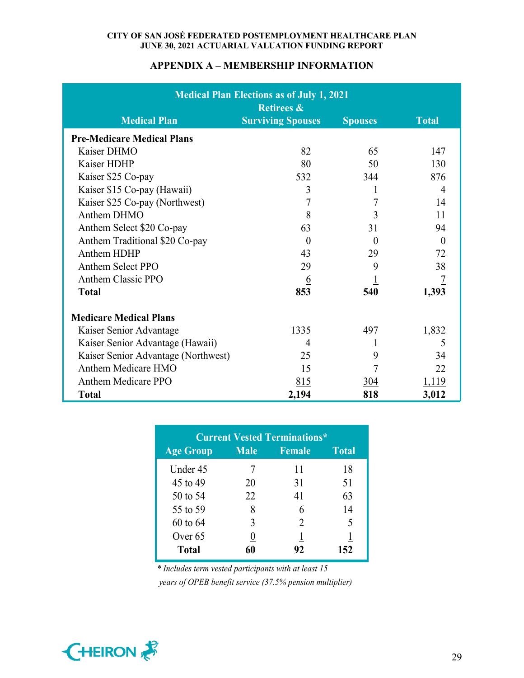| <b>APPENDIX A – MEMBERSHIP INFORMATION</b> |  |  |
|--------------------------------------------|--|--|
|--------------------------------------------|--|--|

| <b>Medical Plan Elections as of July 1, 2021</b><br><b>Retirees &amp;</b> |                          |                |                          |  |  |
|---------------------------------------------------------------------------|--------------------------|----------------|--------------------------|--|--|
| <b>Medical Plan</b>                                                       | <b>Surviving Spouses</b> | <b>Spouses</b> | <b>Total</b>             |  |  |
| <b>Pre-Medicare Medical Plans</b>                                         |                          |                |                          |  |  |
| Kaiser DHMO                                                               | 82                       | 65             | 147                      |  |  |
| Kaiser HDHP                                                               | 80                       | 50             | 130                      |  |  |
| Kaiser \$25 Co-pay                                                        | 532                      | 344            | 876                      |  |  |
| Kaiser \$15 Co-pay (Hawaii)                                               | 3                        | 1              | 4                        |  |  |
| Kaiser \$25 Co-pay (Northwest)                                            | 7                        | 7              | 14                       |  |  |
| Anthem DHMO                                                               | 8                        | 3              | 11                       |  |  |
| Anthem Select \$20 Co-pay                                                 | 63                       | 31             | 94                       |  |  |
| Anthem Traditional \$20 Co-pay                                            | $\Omega$                 | $\theta$       | $\theta$                 |  |  |
| Anthem HDHP                                                               | 43                       | 29             | 72                       |  |  |
| Anthem Select PPO                                                         | 29                       | 9              | 38                       |  |  |
| Anthem Classic PPO                                                        | $\underline{6}$          | $\overline{1}$ | $\overline{\mathcal{I}}$ |  |  |
| <b>Total</b>                                                              | 853                      | 540            | 1,393                    |  |  |
| <b>Medicare Medical Plans</b>                                             |                          |                |                          |  |  |
| Kaiser Senior Advantage                                                   | 1335                     | 497            | 1,832                    |  |  |
| Kaiser Senior Advantage (Hawaii)                                          | 4                        |                | 5                        |  |  |
| Kaiser Senior Advantage (Northwest)                                       | 25                       | 9              | 34                       |  |  |
| Anthem Medicare HMO                                                       | 15                       | 7              | 22                       |  |  |
| <b>Anthem Medicare PPO</b>                                                | 815                      | <u>304</u>     | 1,119                    |  |  |
| <b>Total</b>                                                              | 2,194                    | 818            | 3,012                    |  |  |

| <b>Current Vested Terminations*</b> |             |                  |              |  |
|-------------------------------------|-------------|------------------|--------------|--|
| <b>Age Group</b>                    | <b>Male</b> | <b>Female</b>    | <b>Total</b> |  |
| Under 45                            |             | 11               | 18           |  |
| 45 to 49                            | 20          | 31               | 51           |  |
| 50 to 54                            | 22          | 41               | 63           |  |
| 55 to 59                            | 8           | 6                | 14           |  |
| $60 \text{ to } 64$                 | 3           | $\sum_{i=1}^{n}$ | 5            |  |
| Over $65$                           |             |                  |              |  |
| <b>Total</b>                        | 60          | 92               | 152          |  |

*\* Includes term vested participants with at least 15 years of OPEB benefit service (37.5% pension multiplier)*

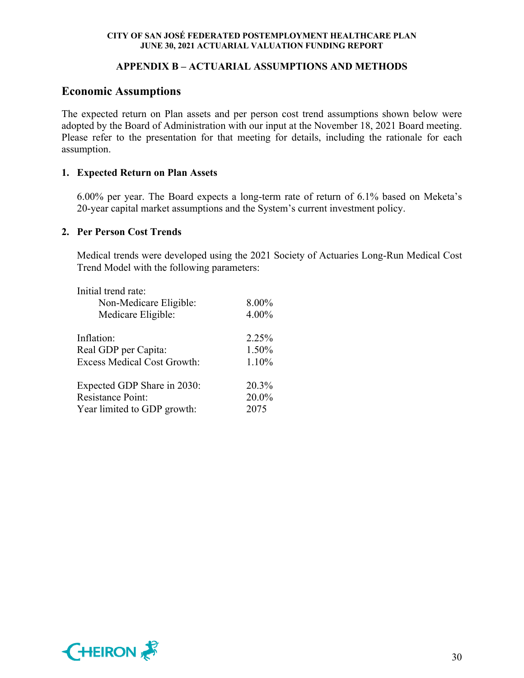## **APPENDIX B – ACTUARIAL ASSUMPTIONS AND METHODS**

# **Economic Assumptions**

The expected return on Plan assets and per person cost trend assumptions shown below were adopted by the Board of Administration with our input at the November 18, 2021 Board meeting. Please refer to the presentation for that meeting for details, including the rationale for each assumption.

## **1. Expected Return on Plan Assets**

6.00% per year. The Board expects a long-term rate of return of 6.1% based on Meketa's 20-year capital market assumptions and the System's current investment policy.

## **2. Per Person Cost Trends**

Medical trends were developed using the 2021 Society of Actuaries Long-Run Medical Cost Trend Model with the following parameters:

| Initial trend rate:                |       |
|------------------------------------|-------|
| Non-Medicare Eligible:             | 8.00% |
| Medicare Eligible:                 | 4.00% |
| Inflation:                         | 2.25% |
| Real GDP per Capita:               | 1.50% |
| <b>Excess Medical Cost Growth:</b> | 1.10% |
| Expected GDP Share in 2030:        | 20.3% |
| <b>Resistance Point:</b>           | 20.0% |
| Year limited to GDP growth:        | 2075  |

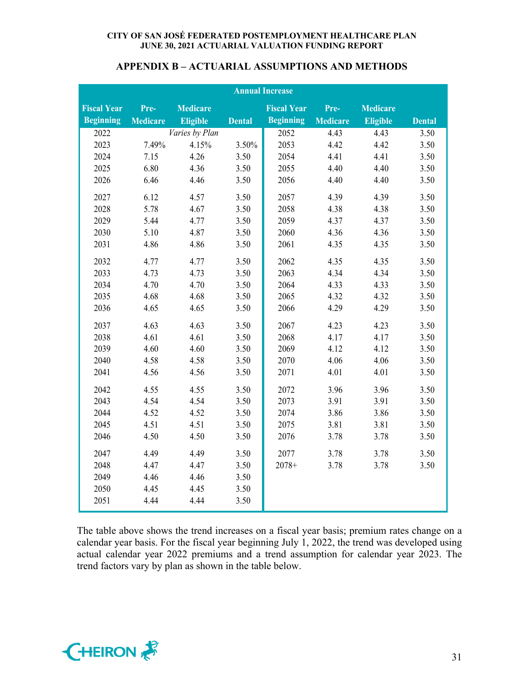### **APPENDIX B – ACTUARIAL ASSUMPTIONS AND METHODS**

| <b>Annual Increase</b> |                 |                 |               |                    |                 |                 |               |
|------------------------|-----------------|-----------------|---------------|--------------------|-----------------|-----------------|---------------|
| <b>Fiscal Year</b>     | Pre-            | <b>Medicare</b> |               | <b>Fiscal Year</b> | Pre-            | <b>Medicare</b> |               |
| <b>Beginning</b>       | <b>Medicare</b> | <b>Eligible</b> | <b>Dental</b> | <b>Beginning</b>   | <b>Medicare</b> | <b>Eligible</b> | <b>Dental</b> |
| 2022                   |                 | Varies by Plan  |               | 2052               | 4.43            | 4.43            | 3.50          |
| 2023                   | 7.49%           | 4.15%           | 3.50%         | 2053               | 4.42            | 4.42            | 3.50          |
| 2024                   | 7.15            | 4.26            | 3.50          | 2054               | 4.41            | 4.41            | 3.50          |
| 2025                   | 6.80            | 4.36            | 3.50          | 2055               | 4.40            | 4.40            | 3.50          |
| 2026                   | 6.46            | 4.46            | 3.50          | 2056               | 4.40            | 4.40            | 3.50          |
| 2027                   | 6.12            | 4.57            | 3.50          | 2057               | 4.39            | 4.39            | 3.50          |
| 2028                   | 5.78            | 4.67            | 3.50          | 2058               | 4.38            | 4.38            | 3.50          |
| 2029                   | 5.44            | 4.77            | 3.50          | 2059               | 4.37            | 4.37            | 3.50          |
| 2030                   | 5.10            | 4.87            | 3.50          | 2060               | 4.36            | 4.36            | 3.50          |
| 2031                   | 4.86            | 4.86            | 3.50          | 2061               | 4.35            | 4.35            | 3.50          |
| 2032                   | 4.77            | 4.77            | 3.50          | 2062               | 4.35            | 4.35            | 3.50          |
| 2033                   | 4.73            | 4.73            | 3.50          | 2063               | 4.34            | 4.34            | 3.50          |
| 2034                   | 4.70            | 4.70            | 3.50          | 2064               | 4.33            | 4.33            | 3.50          |
| 2035                   | 4.68            | 4.68            | 3.50          | 2065               | 4.32            | 4.32            | 3.50          |
| 2036                   | 4.65            | 4.65            | 3.50          | 2066               | 4.29            | 4.29            | 3.50          |
| 2037                   | 4.63            | 4.63            | 3.50          | 2067               | 4.23            | 4.23            | 3.50          |
| 2038                   | 4.61            | 4.61            | 3.50          | 2068               | 4.17            | 4.17            | 3.50          |
| 2039                   | 4.60            | 4.60            | 3.50          | 2069               | 4.12            | 4.12            | 3.50          |
| 2040                   | 4.58            | 4.58            | 3.50          | 2070               | 4.06            | 4.06            | 3.50          |
| 2041                   | 4.56            | 4.56            | 3.50          | 2071               | 4.01            | 4.01            | 3.50          |
| 2042                   | 4.55            | 4.55            | 3.50          | 2072               | 3.96            | 3.96            | 3.50          |
| 2043                   | 4.54            | 4.54            | 3.50          | 2073               | 3.91            | 3.91            | 3.50          |
| 2044                   | 4.52            | 4.52            | 3.50          | 2074               | 3.86            | 3.86            | 3.50          |
| 2045                   | 4.51            | 4.51            | 3.50          | 2075               | 3.81            | 3.81            | 3.50          |
| 2046                   | 4.50            | 4.50            | 3.50          | 2076               | 3.78            | 3.78            | 3.50          |
| 2047                   | 4.49            | 4.49            | 3.50          | 2077               | 3.78            | 3.78            | 3.50          |
| 2048                   | 4.47            | 4.47            | 3.50          | $2078+$            | 3.78            | 3.78            | 3.50          |
| 2049                   | 4.46            | 4.46            | 3.50          |                    |                 |                 |               |
| 2050                   | 4.45            | 4.45            | 3.50          |                    |                 |                 |               |
| 2051                   | 4.44            | 4.44            | 3.50          |                    |                 |                 |               |

The table above shows the trend increases on a fiscal year basis; premium rates change on a calendar year basis. For the fiscal year beginning July 1, 2022, the trend was developed using actual calendar year 2022 premiums and a trend assumption for calendar year 2023. The trend factors vary by plan as shown in the table below.

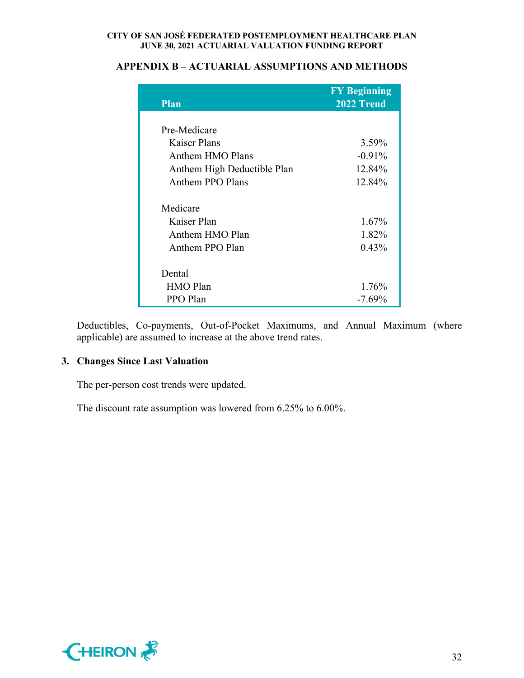|                             | <b>FY Beginning</b> |
|-----------------------------|---------------------|
| Plan                        | 2022 Trend          |
|                             |                     |
| Pre-Medicare                |                     |
| Kaiser Plans                | 3.59%               |
| Anthem HMO Plans            | $-0.91%$            |
| Anthem High Deductible Plan | 12.84%              |
| Anthem PPO Plans            | 12.84%              |
|                             |                     |
| Medicare                    |                     |
| Kaiser Plan                 | 1.67%               |
| Anthem HMO Plan             | 1.82%               |
| Anthem PPO Plan             | 0.43%               |
|                             |                     |
| Dental                      |                     |
| HMO Plan                    | 1.76%               |
| PPO Plan                    | $-7.69%$            |

## **APPENDIX B – ACTUARIAL ASSUMPTIONS AND METHODS**

Deductibles, Co-payments, Out-of-Pocket Maximums, and Annual Maximum (where applicable) are assumed to increase at the above trend rates.

# **3. Changes Since Last Valuation**

The per-person cost trends were updated.

The discount rate assumption was lowered from 6.25% to 6.00%.

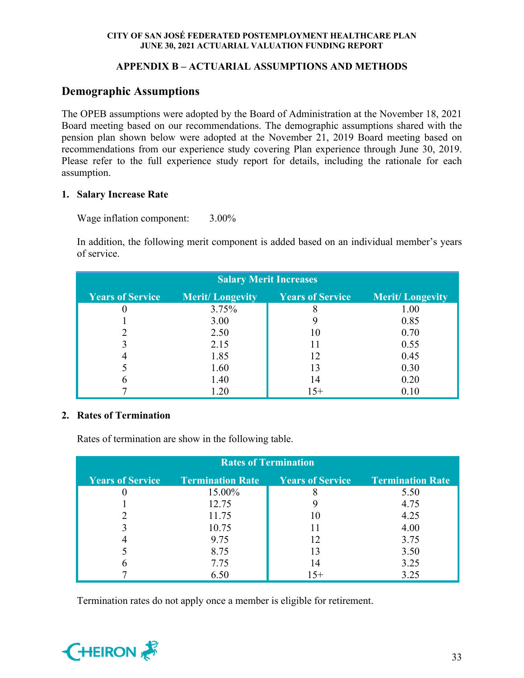# **APPENDIX B – ACTUARIAL ASSUMPTIONS AND METHODS**

# **Demographic Assumptions**

The OPEB assumptions were adopted by the Board of Administration at the November 18, 2021 Board meeting based on our recommendations. The demographic assumptions shared with the pension plan shown below were adopted at the November 21, 2019 Board meeting based on recommendations from our experience study covering Plan experience through June 30, 2019. Please refer to the full experience study report for details, including the rationale for each assumption.

## **1. Salary Increase Rate**

Wage inflation component: 3.00%

In addition, the following merit component is added based on an individual member's years of service.

| <b>Salary Merit Increases</b> |                        |                         |                        |  |
|-------------------------------|------------------------|-------------------------|------------------------|--|
| <b>Years of Service</b>       | <b>Merit/Longevity</b> | <b>Years of Service</b> | <b>Merit/Longevity</b> |  |
|                               | 3.75%                  | 8                       | 1.00                   |  |
|                               | 3.00                   |                         | 0.85                   |  |
|                               | 2.50                   | 10                      | 0.70                   |  |
|                               | 2.15                   | 11                      | 0.55                   |  |
|                               | 1.85                   | 12                      | 0.45                   |  |
|                               | 1.60                   | 13                      | 0.30                   |  |
|                               | 1.40                   | 14                      | 0.20                   |  |
|                               | 1.20                   | $15+$                   | 0.10                   |  |

# **2. Rates of Termination**

Rates of termination are show in the following table.

| <b>Rates of Termination</b> |                         |                         |                         |  |
|-----------------------------|-------------------------|-------------------------|-------------------------|--|
| <b>Years of Service</b>     | <b>Termination Rate</b> | <b>Years of Service</b> | <b>Termination Rate</b> |  |
|                             | 15.00%                  |                         | 5.50                    |  |
|                             | 12.75                   |                         | 4.75                    |  |
|                             | 11.75                   | 10                      | 4.25                    |  |
|                             | 10.75                   |                         | 4.00                    |  |
|                             | 9.75                    | 12                      | 3.75                    |  |
|                             | 8.75                    | 13                      | 3.50                    |  |
|                             | 7.75                    | 14                      | 3.25                    |  |
|                             | 6.50                    |                         | 3.25                    |  |

Termination rates do not apply once a member is eligible for retirement.

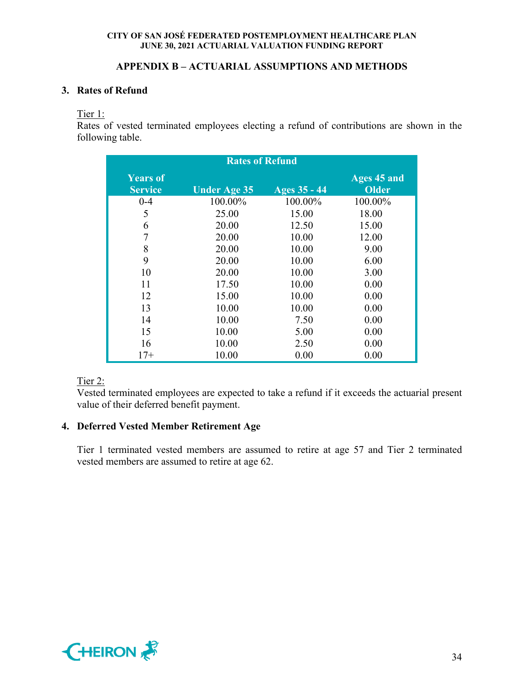## **APPENDIX B – ACTUARIAL ASSUMPTIONS AND METHODS**

## **3. Rates of Refund**

## Tier 1:

Rates of vested terminated employees electing a refund of contributions are shown in the following table.

| <b>Rates of Refund</b>            |                     |              |                             |  |
|-----------------------------------|---------------------|--------------|-----------------------------|--|
| <b>Years of</b><br><b>Service</b> | <b>Under Age 35</b> | Ages 35 - 44 | Ages 45 and<br><b>Older</b> |  |
| $0 - 4$                           | 100.00%             | 100.00%      | 100.00%                     |  |
| 5                                 | 25.00               | 15.00        | 18.00                       |  |
| 6                                 | 20.00               | 12.50        | 15.00                       |  |
| 7                                 | 20.00               | 10.00        | 12.00                       |  |
| 8                                 | 20.00               | 10.00        | 9.00                        |  |
| 9                                 | 20.00               | 10.00        | 6.00                        |  |
| 10                                | 20.00               | 10.00        | 3.00                        |  |
| 11                                | 17.50               | 10.00        | 0.00                        |  |
| 12                                | 15.00               | 10.00        | 0.00                        |  |
| 13                                | 10.00               | 10.00        | 0.00                        |  |
| 14                                | 10.00               | 7.50         | 0.00                        |  |
| 15                                | 10.00               | 5.00         | 0.00                        |  |
| 16                                | 10.00               | 2.50         | 0.00                        |  |
| $17 +$                            | 10.00               | 0.00         | 0.00                        |  |

# Tier 2:

Vested terminated employees are expected to take a refund if it exceeds the actuarial present value of their deferred benefit payment.

# **4. Deferred Vested Member Retirement Age**

Tier 1 terminated vested members are assumed to retire at age 57 and Tier 2 terminated vested members are assumed to retire at age 62.

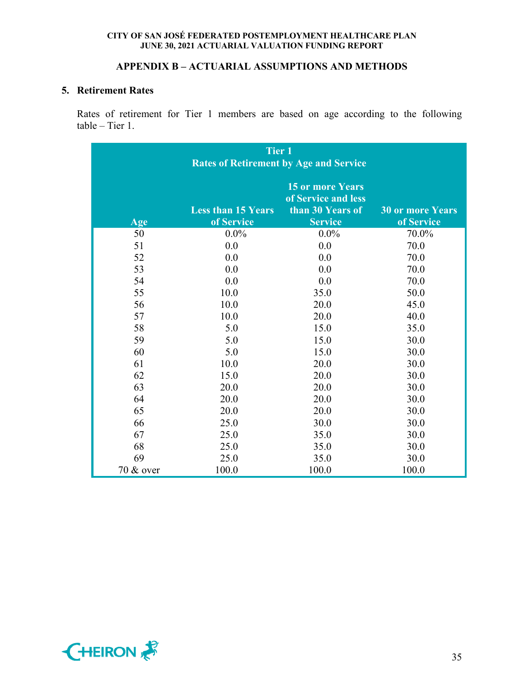## **APPENDIX B – ACTUARIAL ASSUMPTIONS AND METHODS**

## **5. Retirement Rates**

Rates of retirement for Tier 1 members are based on age according to the following table – Tier 1.

| <b>Tier 1</b><br><b>Rates of Retirement by Age and Service</b> |                                         |                                                                                      |                                       |  |
|----------------------------------------------------------------|-----------------------------------------|--------------------------------------------------------------------------------------|---------------------------------------|--|
| Age                                                            | <b>Less than 15 Years</b><br>of Service | <b>15 or more Years</b><br>of Service and less<br>than 30 Years of<br><b>Service</b> | <b>30 or more Years</b><br>of Service |  |
| 50                                                             | $0.0\%$                                 | $0.0\%$                                                                              | 70.0%                                 |  |
| 51                                                             | 0.0                                     | 0.0                                                                                  | 70.0                                  |  |
| 52                                                             | 0.0                                     | 0.0                                                                                  | 70.0                                  |  |
| 53                                                             | 0.0                                     | 0.0                                                                                  | 70.0                                  |  |
| 54                                                             | 0.0                                     | 0.0                                                                                  | 70.0                                  |  |
| 55                                                             | 10.0                                    | 35.0                                                                                 | 50.0                                  |  |
|                                                                |                                         |                                                                                      |                                       |  |
| 56                                                             | 10.0                                    | 20.0                                                                                 | 45.0                                  |  |
| 57                                                             | 10.0                                    | 20.0                                                                                 | 40.0                                  |  |
| 58                                                             | 5.0                                     | 15.0                                                                                 | 35.0                                  |  |
| 59                                                             | 5.0                                     | 15.0                                                                                 | 30.0                                  |  |
| 60                                                             | 5.0                                     | 15.0                                                                                 | 30.0                                  |  |
| 61                                                             | 10.0                                    | 20.0                                                                                 | 30.0                                  |  |
| 62                                                             | 15.0                                    | 20.0                                                                                 | 30.0                                  |  |
| 63                                                             | 20.0                                    | 20.0                                                                                 | 30.0                                  |  |
| 64                                                             | 20.0                                    | 20.0                                                                                 | 30.0                                  |  |
| 65                                                             | 20.0                                    | 20.0                                                                                 | 30.0                                  |  |
| 66                                                             | 25.0                                    | 30.0                                                                                 | 30.0                                  |  |
| 67                                                             | 25.0                                    | 35.0                                                                                 | 30.0                                  |  |
| 68                                                             | 25.0                                    | 35.0                                                                                 | 30.0                                  |  |
| 69                                                             | 25.0                                    | 35.0                                                                                 | 30.0                                  |  |
| 70 & over                                                      | 100.0                                   | 100.0                                                                                | 100.0                                 |  |

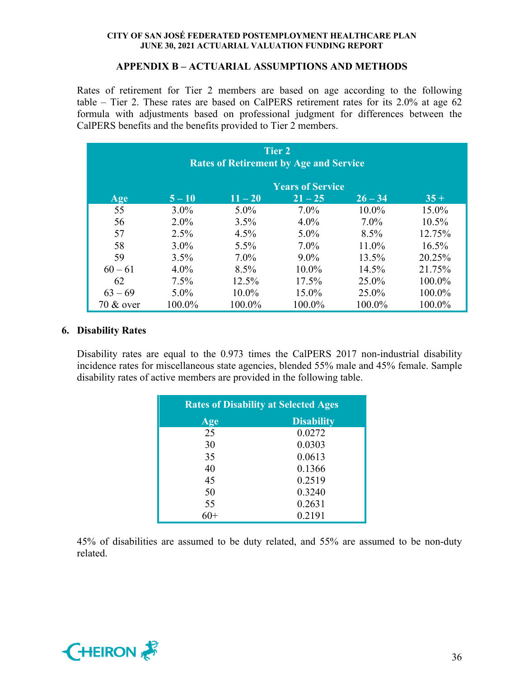#### **APPENDIX B – ACTUARIAL ASSUMPTIONS AND METHODS**

Rates of retirement for Tier 2 members are based on age according to the following table – Tier 2. These rates are based on CalPERS retirement rates for its 2.0% at age 62 formula with adjustments based on professional judgment for differences between the CalPERS benefits and the benefits provided to Tier 2 members.

| <b>Tier 2</b><br><b>Rates of Retirement by Age and Service</b> |                         |           |           |           |          |  |
|----------------------------------------------------------------|-------------------------|-----------|-----------|-----------|----------|--|
|                                                                | <b>Years of Service</b> |           |           |           |          |  |
| Age                                                            | $5 - 10$                | $11 - 20$ | $21 - 25$ | $26 - 34$ | $35 +$   |  |
| 55                                                             | $3.0\%$                 | $5.0\%$   | $7.0\%$   | 10.0%     | 15.0%    |  |
| 56                                                             | $2.0\%$                 | 3.5%      | $4.0\%$   | $7.0\%$   | 10.5%    |  |
| 57                                                             | 2.5%                    | $4.5\%$   | $5.0\%$   | $8.5\%$   | 12.75%   |  |
| 58                                                             | $3.0\%$                 | $5.5\%$   | $7.0\%$   | 11.0%     | $16.5\%$ |  |
| 59                                                             | 3.5%                    | $7.0\%$   | $9.0\%$   | 13.5%     | 20.25%   |  |
| $60 - 61$                                                      | $4.0\%$                 | 8.5%      | 10.0%     | 14.5%     | 21.75%   |  |
| 62                                                             | $7.5\%$                 | 12.5%     | 17.5%     | 25.0%     | 100.0%   |  |
| $63 - 69$                                                      | $5.0\%$                 | $10.0\%$  | 15.0%     | 25.0%     | 100.0%   |  |
| $70 \&$ over                                                   | 100.0%                  | 100.0%    | 100.0%    | 100.0%    | 100.0%   |  |

## **6. Disability Rates**

Disability rates are equal to the 0.973 times the CalPERS 2017 non-industrial disability incidence rates for miscellaneous state agencies, blended 55% male and 45% female. Sample disability rates of active members are provided in the following table.

| <b>Rates of Disability at Selected Ages</b> |                   |  |  |
|---------------------------------------------|-------------------|--|--|
| Age                                         | <b>Disability</b> |  |  |
| 25                                          | 0.0272            |  |  |
| 30                                          | 0.0303            |  |  |
| 35                                          | 0.0613            |  |  |
| 40                                          | 0.1366            |  |  |
| 45                                          | 0.2519            |  |  |
| 50                                          | 0.3240            |  |  |
| 55                                          | 0.2631            |  |  |
|                                             | 0.2191            |  |  |

45% of disabilities are assumed to be duty related, and 55% are assumed to be non-duty related.

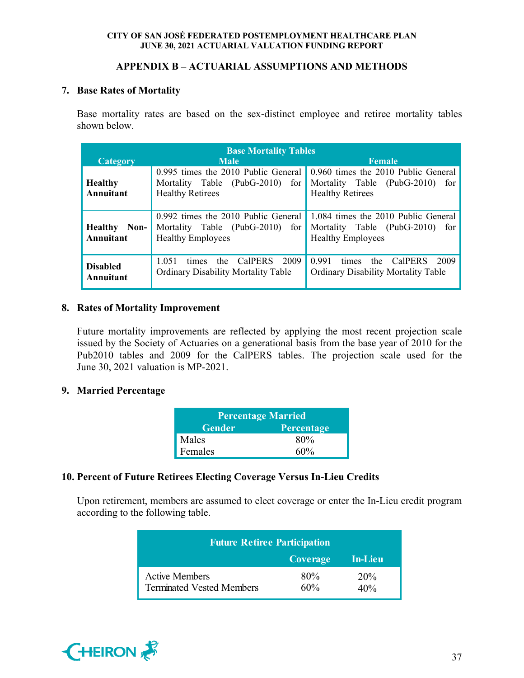## **APPENDIX B – ACTUARIAL ASSUMPTIONS AND METHODS**

## **7. Base Rates of Mortality**

Base mortality rates are based on the sex-distinct employee and retiree mortality tables shown below.

|                                     | <b>Base Mortality Tables</b>                                                                          |                                                                                                       |  |  |  |
|-------------------------------------|-------------------------------------------------------------------------------------------------------|-------------------------------------------------------------------------------------------------------|--|--|--|
| Category                            | <b>Male</b>                                                                                           | <b>Female</b>                                                                                         |  |  |  |
| <b>Healthy</b><br>Annuitant         | 0.995 times the 2010 Public General<br>Mortality Table (PubG-2010) for<br><b>Healthy Retirees</b>     | 0.960 times the 2010 Public General<br>Mortality Table (PubG-2010)<br>for<br><b>Healthy Retirees</b>  |  |  |  |
| <b>Healthy</b><br>Non-<br>Annuitant | 0.992 times the 2010 Public General<br>Mortality Table (PubG-2010)<br>for<br><b>Healthy Employees</b> | 1.084 times the 2010 Public General<br>Mortality Table (PubG-2010)<br>for<br><b>Healthy Employees</b> |  |  |  |
| <b>Disabled</b><br>Annuitant        | <b>CalPERS</b><br>2009<br>1.051<br>the<br>times<br><b>Ordinary Disability Mortality Table</b>         | <b>CalPERS</b><br>0.991<br>the.<br>2009<br>times<br><b>Ordinary Disability Mortality Table</b>        |  |  |  |

## **8. Rates of Mortality Improvement**

Future mortality improvements are reflected by applying the most recent projection scale issued by the Society of Actuaries on a generational basis from the base year of 2010 for the Pub2010 tables and 2009 for the CalPERS tables. The projection scale used for the June 30, 2021 valuation is MP-2021.

## **9. Married Percentage**

| <b>Percentage Married</b> |     |  |  |  |  |  |
|---------------------------|-----|--|--|--|--|--|
| Percentage<br>Gender      |     |  |  |  |  |  |
| Males                     | 80% |  |  |  |  |  |
| Females                   | 60% |  |  |  |  |  |

## **10. Percent of Future Retirees Electing Coverage Versus In-Lieu Credits**

Upon retirement, members are assumed to elect coverage or enter the In-Lieu credit program according to the following table.

| <b>Future Retiree Participation</b>                       |               |            |  |  |  |  |
|-----------------------------------------------------------|---------------|------------|--|--|--|--|
|                                                           | Coverage      | In-Lieu    |  |  |  |  |
| <b>Active Members</b><br><b>Terminated Vested Members</b> | 80%<br>$60\%$ | 20%<br>40% |  |  |  |  |

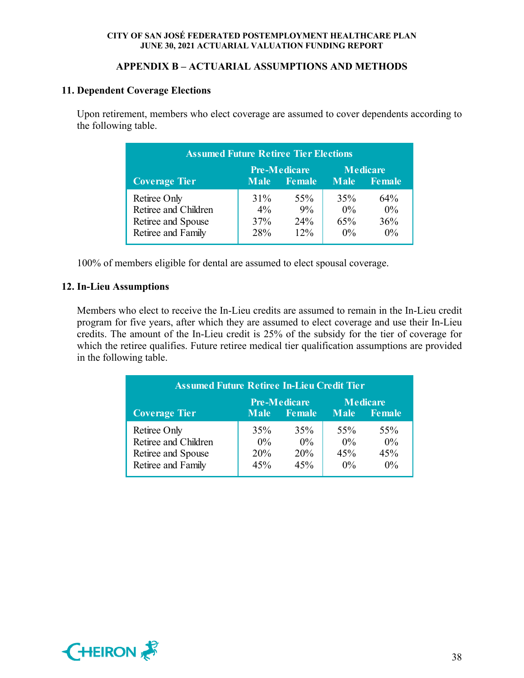## **APPENDIX B – ACTUARIAL ASSUMPTIONS AND METHODS**

## **11. Dependent Coverage Elections**

Upon retirement, members who elect coverage are assumed to cover dependents according to the following table.

| <b>Assumed Future Retiree Tier Elections</b>                                                                  |                            |                         |                              |                              |  |  |  |  |
|---------------------------------------------------------------------------------------------------------------|----------------------------|-------------------------|------------------------------|------------------------------|--|--|--|--|
| <b>Pre-Medicare</b><br><b>Medicare</b><br><b>Coverage Tier</b><br>Male Female<br><b>Female</b><br><b>Male</b> |                            |                         |                              |                              |  |  |  |  |
| Retiree Only<br>Retiree and Children<br>Retiree and Spouse<br>Retiree and Family                              | 31%<br>$4\%$<br>37%<br>28% | 55%<br>9%<br>24%<br>12% | 35%<br>$0\%$<br>65%<br>$0\%$ | 64%<br>$0\%$<br>36%<br>$0\%$ |  |  |  |  |

100% of members eligible for dental are assumed to elect spousal coverage.

## **12. In-Lieu Assumptions**

Members who elect to receive the In-Lieu credits are assumed to remain in the In-Lieu credit program for five years, after which they are assumed to elect coverage and use their In-Lieu credits. The amount of the In-Lieu credit is 25% of the subsidy for the tier of coverage for which the retiree qualifies. Future retiree medical tier qualification assumptions are provided in the following table.

| <b>Assumed Future Retiree In-Lieu Credit Tier</b>                                                                              |                            |                            |                              |                              |  |  |  |  |
|--------------------------------------------------------------------------------------------------------------------------------|----------------------------|----------------------------|------------------------------|------------------------------|--|--|--|--|
| <b>Medicare</b><br><b>Pre-Medicare</b><br><b>Female</b><br><b>Female</b><br><b>Coverage Tier</b><br><b>Male</b><br><b>Male</b> |                            |                            |                              |                              |  |  |  |  |
| Retiree Only<br>Retiree and Children<br>Retiree and Spouse<br>Retiree and Family                                               | 35%<br>$0\%$<br>20%<br>45% | 35%<br>$0\%$<br>20%<br>45% | 55%<br>$0\%$<br>45%<br>$0\%$ | 55%<br>$0\%$<br>45%<br>$0\%$ |  |  |  |  |

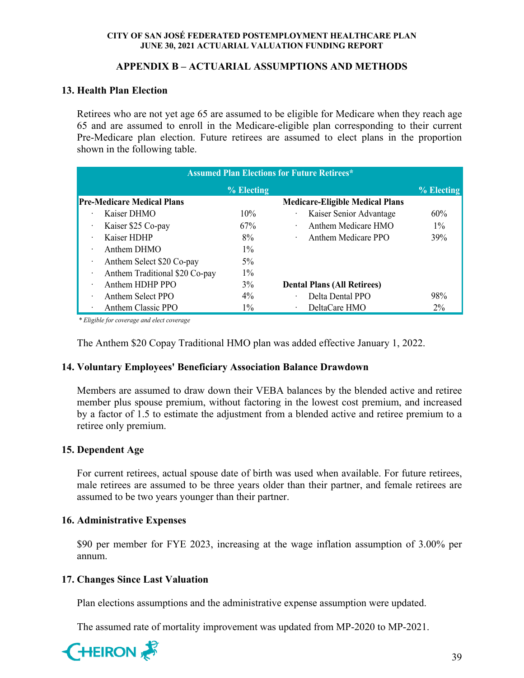## **APPENDIX B – ACTUARIAL ASSUMPTIONS AND METHODS**

## **13. Health Plan Election**

Retirees who are not yet age 65 are assumed to be eligible for Medicare when they reach age 65 and are assumed to enroll in the Medicare-eligible plan corresponding to their current Pre-Medicare plan election. Future retirees are assumed to elect plans in the proportion shown in the following table.

| <b>Assumed Plan Elections for Future Retirees*</b> |            |                                        |            |  |  |  |
|----------------------------------------------------|------------|----------------------------------------|------------|--|--|--|
|                                                    | % Electing |                                        | % Electing |  |  |  |
| <b>Pre-Medicare Medical Plans</b>                  |            | <b>Medicare-Eligible Medical Plans</b> |            |  |  |  |
| Kaiser DHMO                                        | 10%        | Kaiser Senior Advantage<br>٠           | 60%        |  |  |  |
| Kaiser \$25 Co-pay                                 | 67%        | Anthem Medicare HMO<br>٠               | $1\%$      |  |  |  |
| Kaiser HDHP                                        | 8%         | Anthem Medicare PPO<br>٠               | 39%        |  |  |  |
| Anthem DHMO                                        | $1\%$      |                                        |            |  |  |  |
| Anthem Select \$20 Co-pay                          | $5\%$      |                                        |            |  |  |  |
| Anthem Traditional \$20 Co-pay                     | $1\%$      |                                        |            |  |  |  |
| Anthem HDHP PPO<br>٠                               | $3\%$      | <b>Dental Plans (All Retirees)</b>     |            |  |  |  |
| Anthem Select PPO                                  | $4\%$      | Delta Dental PPO                       | 98%        |  |  |  |
| Anthem Classic PPO                                 | $1\%$      | DeltaCare HMO<br>٠                     | $2\%$      |  |  |  |

*\* Eligible for coverage and elect coverage*

The Anthem \$20 Copay Traditional HMO plan was added effective January 1, 2022.

## **14. Voluntary Employees' Beneficiary Association Balance Drawdown**

Members are assumed to draw down their VEBA balances by the blended active and retiree member plus spouse premium, without factoring in the lowest cost premium, and increased by a factor of 1.5 to estimate the adjustment from a blended active and retiree premium to a retiree only premium.

## **15. Dependent Age**

For current retirees, actual spouse date of birth was used when available. For future retirees, male retirees are assumed to be three years older than their partner, and female retirees are assumed to be two years younger than their partner.

## **16. Administrative Expenses**

\$90 per member for FYE 2023, increasing at the wage inflation assumption of 3.00% per annum.

## **17. Changes Since Last Valuation**

Plan elections assumptions and the administrative expense assumption were updated.

The assumed rate of mortality improvement was updated from MP-2020 to MP-2021.

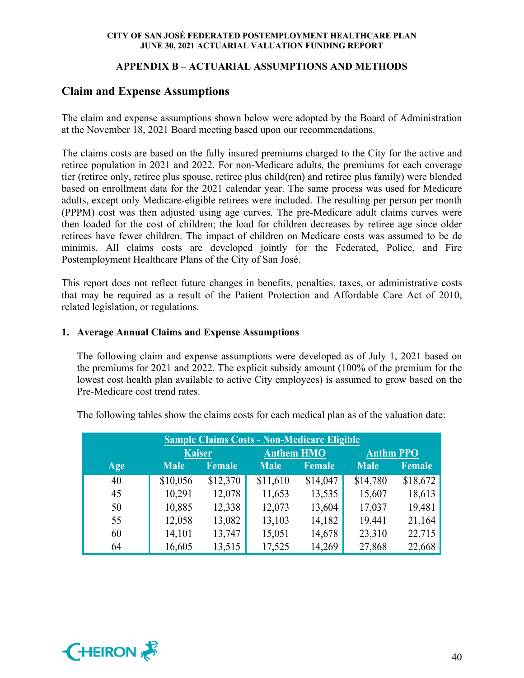# **APPENDIX B – ACTUARIAL ASSUMPTIONS AND METHODS**

# **Claim and Expense Assumptions**

The claim and expense assumptions shown below were adopted by the Board of Administration at the November 18, 2021 Board meeting based upon our recommendations.

The claims costs are based on the fully insured premiums charged to the City for the active and retiree population in 2021 and 2022. For non-Medicare adults, the premiums for each coverage tier (retiree only, retiree plus spouse, retiree plus child(ren) and retiree plus family) were blended based on enrollment data for the 2021 calendar year. The same process was used for Medicare adults, except only Medicare-eligible retirees were included. The resulting per person per month (PPPM) cost was then adjusted using age curves. The pre-Medicare adult claims curves were then loaded for the cost of children; the load for children decreases by retiree age since older retirees have fewer children. The impact of children on Medicare costs was assumed to be de minimis. All claims costs are developed jointly for the Federated, Police, and Fire Postemployment Healthcare Plans of the City of San José.

This report does not reflect future changes in benefits, penalties, taxes, or administrative costs that may be required as a result of the Patient Protection and Affordable Care Act of 2010, related legislation, or regulations.

## **1. Average Annual Claims and Expense Assumptions**

The following claim and expense assumptions were developed as of July 1, 2021 based on the premiums for 2021 and 2022. The explicit subsidy amount (100% of the premium for the lowest cost health plan available to active City employees) is assumed to grow based on the Pre-Medicare cost trend rates.

| <b>Sample Claims Costs - Non-Medicare Eligible</b> |               |               |                   |               |                  |               |  |  |
|----------------------------------------------------|---------------|---------------|-------------------|---------------|------------------|---------------|--|--|
|                                                    | <b>Kaiser</b> |               | <b>Anthem HMO</b> |               | <b>Anthm PPO</b> |               |  |  |
| Age                                                | <b>Male</b>   | <b>Female</b> | <b>Male</b>       | <b>Female</b> | <b>Male</b>      | <b>Female</b> |  |  |
| 40                                                 | \$10,056      | \$12,370      | \$11,610          | \$14,047      | \$14,780         | \$18,672      |  |  |
| 45                                                 | 10,291        | 12,078        | 11,653            | 13,535        | 15,607           | 18,613        |  |  |
| 50                                                 | 10,885        | 12,338        | 12,073            | 13,604        | 17,037           | 19,481        |  |  |
| 55                                                 | 12,058        | 13,082        | 13,103            | 14,182        | 19,441           | 21,164        |  |  |
| 60                                                 | 14,101        | 13,747        | 15,051            | 14,678        | 23,310           | 22,715        |  |  |
| 64                                                 | 16,605        | 13,515        | 17,525            | 14,269        | 27,868           | 22,668        |  |  |

The following tables show the claims costs for each medical plan as of the valuation date:

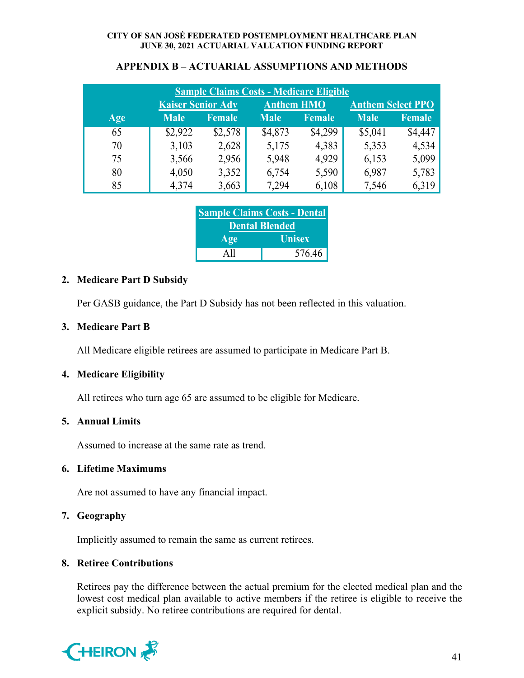| <b>Sample Claims Costs - Medicare Eligible</b> |                          |               |                   |               |                          |               |  |  |
|------------------------------------------------|--------------------------|---------------|-------------------|---------------|--------------------------|---------------|--|--|
|                                                | <b>Kaiser Senior Adv</b> |               | <b>Anthem HMO</b> |               | <b>Anthem Select PPO</b> |               |  |  |
| Age                                            | <b>Male</b>              | <b>Female</b> | <b>Male</b>       | <b>Female</b> | <b>Male</b>              | <b>Female</b> |  |  |
| 65                                             | \$2,922                  | \$2,578       | \$4,873           | \$4,299       | \$5,041                  | \$4,447       |  |  |
| 70                                             | 3,103                    | 2,628         | 5,175             | 4,383         | 5,353                    | 4,534         |  |  |
| 75                                             | 3,566                    | 2,956         | 5,948             | 4,929         | 6,153                    | 5,099         |  |  |
| 80                                             | 4,050                    | 3,352         | 6,754             | 5,590         | 6,987                    | 5,783         |  |  |
| 85                                             | 4,374                    | 3,663         | 7,294             | 6,108         | 7,546                    | 6,319         |  |  |

# **APPENDIX B – ACTUARIAL ASSUMPTIONS AND METHODS**

| <b>Sample Claims Costs - Dental</b> |               |  |  |  |
|-------------------------------------|---------------|--|--|--|
| <b>Dental Blended</b>               |               |  |  |  |
| Age                                 | <b>Unisex</b> |  |  |  |
| A 11                                | 576.46        |  |  |  |

## **2. Medicare Part D Subsidy**

Per GASB guidance, the Part D Subsidy has not been reflected in this valuation.

# **3. Medicare Part B**

All Medicare eligible retirees are assumed to participate in Medicare Part B.

# **4. Medicare Eligibility**

All retirees who turn age 65 are assumed to be eligible for Medicare.

# **5. Annual Limits**

Assumed to increase at the same rate as trend.

## **6. Lifetime Maximums**

Are not assumed to have any financial impact.

## **7. Geography**

Implicitly assumed to remain the same as current retirees.

## **8. Retiree Contributions**

Retirees pay the difference between the actual premium for the elected medical plan and the lowest cost medical plan available to active members if the retiree is eligible to receive the explicit subsidy. No retiree contributions are required for dental.

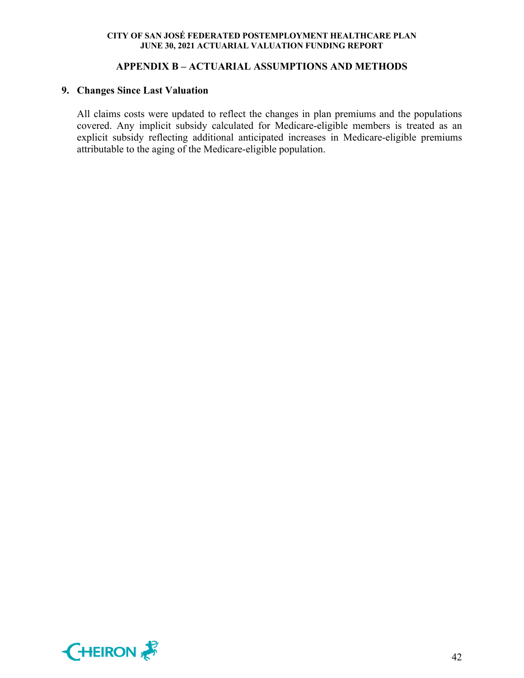## **APPENDIX B – ACTUARIAL ASSUMPTIONS AND METHODS**

#### **9. Changes Since Last Valuation**

All claims costs were updated to reflect the changes in plan premiums and the populations covered. Any implicit subsidy calculated for Medicare-eligible members is treated as an explicit subsidy reflecting additional anticipated increases in Medicare-eligible premiums attributable to the aging of the Medicare-eligible population.

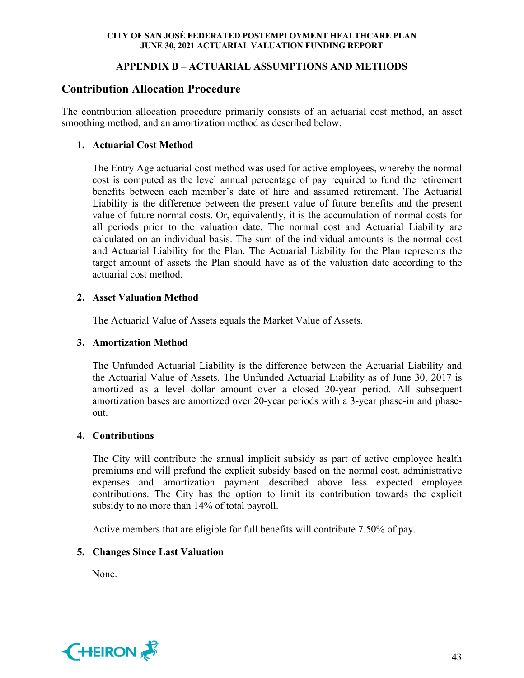# **APPENDIX B – ACTUARIAL ASSUMPTIONS AND METHODS**

# **Contribution Allocation Procedure**

The contribution allocation procedure primarily consists of an actuarial cost method, an asset smoothing method, and an amortization method as described below.

# **1. Actuarial Cost Method**

The Entry Age actuarial cost method was used for active employees, whereby the normal cost is computed as the level annual percentage of pay required to fund the retirement benefits between each member's date of hire and assumed retirement. The Actuarial Liability is the difference between the present value of future benefits and the present value of future normal costs. Or, equivalently, it is the accumulation of normal costs for all periods prior to the valuation date. The normal cost and Actuarial Liability are calculated on an individual basis. The sum of the individual amounts is the normal cost and Actuarial Liability for the Plan. The Actuarial Liability for the Plan represents the target amount of assets the Plan should have as of the valuation date according to the actuarial cost method.

## **2. Asset Valuation Method**

The Actuarial Value of Assets equals the Market Value of Assets.

# **3. Amortization Method**

The Unfunded Actuarial Liability is the difference between the Actuarial Liability and the Actuarial Value of Assets. The Unfunded Actuarial Liability as of June 30, 2017 is amortized as a level dollar amount over a closed 20-year period. All subsequent amortization bases are amortized over 20-year periods with a 3-year phase-in and phaseout.

## **4. Contributions**

The City will contribute the annual implicit subsidy as part of active employee health premiums and will prefund the explicit subsidy based on the normal cost, administrative expenses and amortization payment described above less expected employee contributions. The City has the option to limit its contribution towards the explicit subsidy to no more than 14% of total payroll.

Active members that are eligible for full benefits will contribute 7.50% of pay.

# **5. Changes Since Last Valuation**

None.

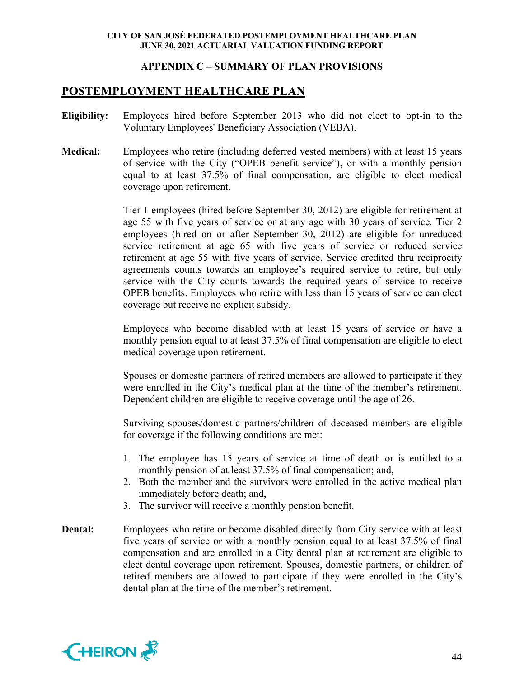# **APPENDIX C – SUMMARY OF PLAN PROVISIONS**

# **POSTEMPLOYMENT HEALTHCARE PLAN**

- **Eligibility:** Employees hired before September 2013 who did not elect to opt-in to the Voluntary Employees' Beneficiary Association (VEBA).
- **Medical:** Employees who retire (including deferred vested members) with at least 15 years of service with the City ("OPEB benefit service"), or with a monthly pension equal to at least 37.5% of final compensation, are eligible to elect medical coverage upon retirement.

Tier 1 employees (hired before September 30, 2012) are eligible for retirement at age 55 with five years of service or at any age with 30 years of service. Tier 2 employees (hired on or after September 30, 2012) are eligible for unreduced service retirement at age 65 with five years of service or reduced service retirement at age 55 with five years of service. Service credited thru reciprocity agreements counts towards an employee's required service to retire, but only service with the City counts towards the required years of service to receive OPEB benefits. Employees who retire with less than 15 years of service can elect coverage but receive no explicit subsidy.

Employees who become disabled with at least 15 years of service or have a monthly pension equal to at least 37.5% of final compensation are eligible to elect medical coverage upon retirement.

Spouses or domestic partners of retired members are allowed to participate if they were enrolled in the City's medical plan at the time of the member's retirement. Dependent children are eligible to receive coverage until the age of 26.

Surviving spouses/domestic partners/children of deceased members are eligible for coverage if the following conditions are met:

- 1. The employee has 15 years of service at time of death or is entitled to a monthly pension of at least 37.5% of final compensation; and,
- 2. Both the member and the survivors were enrolled in the active medical plan immediately before death; and,
- 3. The survivor will receive a monthly pension benefit.
- **Dental:** Employees who retire or become disabled directly from City service with at least five years of service or with a monthly pension equal to at least 37.5% of final compensation and are enrolled in a City dental plan at retirement are eligible to elect dental coverage upon retirement. Spouses, domestic partners, or children of retired members are allowed to participate if they were enrolled in the City's dental plan at the time of the member's retirement.

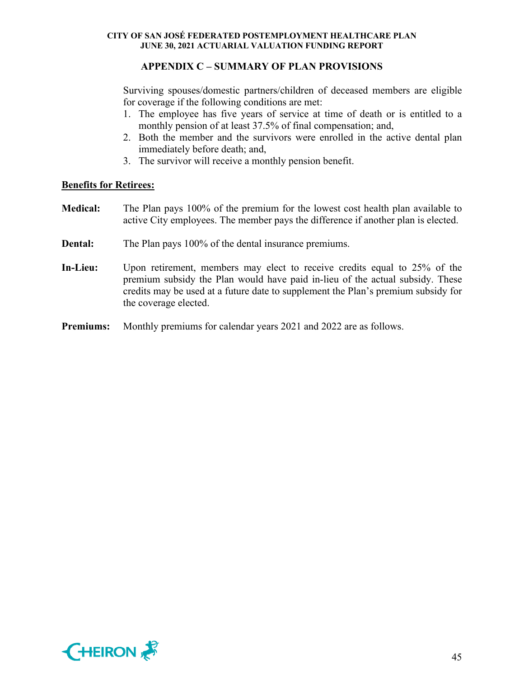## **APPENDIX C – SUMMARY OF PLAN PROVISIONS**

Surviving spouses/domestic partners/children of deceased members are eligible for coverage if the following conditions are met:

- 1. The employee has five years of service at time of death or is entitled to a monthly pension of at least 37.5% of final compensation; and,
- 2. Both the member and the survivors were enrolled in the active dental plan immediately before death; and,
- 3. The survivor will receive a monthly pension benefit.

## **Benefits for Retirees:**

- **Medical:** The Plan pays 100% of the premium for the lowest cost health plan available to active City employees. The member pays the difference if another plan is elected.
- **Dental:** The Plan pays 100% of the dental insurance premiums.
- **In-Lieu:** Upon retirement, members may elect to receive credits equal to 25% of the premium subsidy the Plan would have paid in-lieu of the actual subsidy. These credits may be used at a future date to supplement the Plan's premium subsidy for the coverage elected.
- **Premiums:** Monthly premiums for calendar years 2021 and 2022 are as follows.

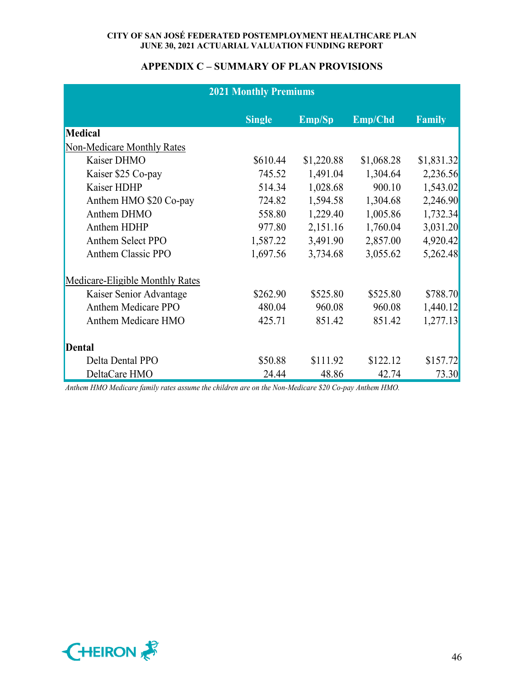# **APPENDIX C – SUMMARY OF PLAN PROVISIONS**

| <b>2021 Monthly Premiums</b>    |               |            |            |               |  |  |  |
|---------------------------------|---------------|------------|------------|---------------|--|--|--|
|                                 | <b>Single</b> | Emp/Sp     | Emp/Chd    | <b>Family</b> |  |  |  |
| <b>Medical</b>                  |               |            |            |               |  |  |  |
| Non-Medicare Monthly Rates      |               |            |            |               |  |  |  |
| Kaiser DHMO                     | \$610.44      | \$1,220.88 | \$1,068.28 | \$1,831.32    |  |  |  |
| Kaiser \$25 Co-pay              | 745.52        | 1,491.04   | 1,304.64   | 2,236.56      |  |  |  |
| Kaiser HDHP                     | 514.34        | 1,028.68   | 900.10     | 1,543.02      |  |  |  |
| Anthem HMO \$20 Co-pay          | 724.82        | 1,594.58   | 1,304.68   | 2,246.90      |  |  |  |
| Anthem DHMO                     | 558.80        | 1,229.40   | 1,005.86   | 1,732.34      |  |  |  |
| Anthem HDHP                     | 977.80        | 2,151.16   | 1,760.04   | 3,031.20      |  |  |  |
| Anthem Select PPO               | 1,587.22      | 3,491.90   | 2,857.00   | 4,920.42      |  |  |  |
| <b>Anthem Classic PPO</b>       | 1,697.56      | 3,734.68   | 3,055.62   | 5,262.48      |  |  |  |
| Medicare-Eligible Monthly Rates |               |            |            |               |  |  |  |
| Kaiser Senior Advantage         | \$262.90      | \$525.80   | \$525.80   | \$788.70      |  |  |  |
| <b>Anthem Medicare PPO</b>      | 480.04        | 960.08     | 960.08     | 1,440.12      |  |  |  |
| <b>Anthem Medicare HMO</b>      | 425.71        | 851.42     | 851.42     | 1,277.13      |  |  |  |
| <b>Dental</b>                   |               |            |            |               |  |  |  |
| Delta Dental PPO                | \$50.88       | \$111.92   | \$122.12   | \$157.72      |  |  |  |
| DeltaCare HMO                   | 24.44         | 48.86      | 42.74      | 73.30         |  |  |  |

*Anthem HMO Medicare family rates assume the children are on the Non-Medicare \$20 Co-pay Anthem HMO.*

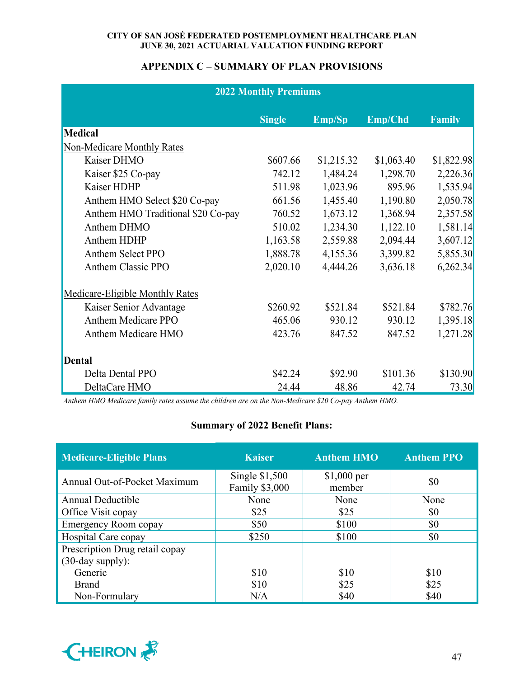# **APPENDIX C – SUMMARY OF PLAN PROVISIONS**

| <b>2022 Monthly Premiums</b>           |               |            |            |               |  |  |  |
|----------------------------------------|---------------|------------|------------|---------------|--|--|--|
|                                        | <b>Single</b> | Emp/Sp     | Emp/Chd    | <b>Family</b> |  |  |  |
| <b>Medical</b>                         |               |            |            |               |  |  |  |
| Non-Medicare Monthly Rates             |               |            |            |               |  |  |  |
| Kaiser DHMO                            | \$607.66      | \$1,215.32 | \$1,063.40 | \$1,822.98    |  |  |  |
| Kaiser \$25 Co-pay                     | 742.12        | 1,484.24   | 1,298.70   | 2,226.36      |  |  |  |
| Kaiser HDHP                            | 511.98        | 1,023.96   | 895.96     | 1,535.94      |  |  |  |
| Anthem HMO Select \$20 Co-pay          | 661.56        | 1,455.40   | 1,190.80   | 2,050.78      |  |  |  |
| Anthem HMO Traditional \$20 Co-pay     | 760.52        | 1,673.12   | 1,368.94   | 2,357.58      |  |  |  |
| Anthem DHMO                            | 510.02        | 1,234.30   | 1,122.10   | 1,581.14      |  |  |  |
| Anthem HDHP                            | 1,163.58      | 2,559.88   | 2,094.44   | 3,607.12      |  |  |  |
| <b>Anthem Select PPO</b>               | 1,888.78      | 4,155.36   | 3,399.82   | 5,855.30      |  |  |  |
| <b>Anthem Classic PPO</b>              | 2,020.10      | 4,444.26   | 3,636.18   | 6,262.34      |  |  |  |
| <b>Medicare-Eligible Monthly Rates</b> |               |            |            |               |  |  |  |
| Kaiser Senior Advantage                | \$260.92      | \$521.84   | \$521.84   | \$782.76      |  |  |  |
| <b>Anthem Medicare PPO</b>             | 465.06        | 930.12     | 930.12     | 1,395.18      |  |  |  |
| <b>Anthem Medicare HMO</b>             | 423.76        | 847.52     | 847.52     | 1,271.28      |  |  |  |
| <b>Dental</b>                          |               |            |            |               |  |  |  |
| Delta Dental PPO                       | \$42.24       | \$92.90    | \$101.36   | \$130.90      |  |  |  |
| DeltaCare HMO                          | 24.44         | 48.86      | 42.74      | 73.30         |  |  |  |

*Anthem HMO Medicare family rates assume the children are on the Non-Medicare \$20 Co-pay Anthem HMO.*

# **Summary of 2022 Benefit Plans:**

| <b>Medicare-Eligible Plans</b> | <b>Kaiser</b>                            | <b>Anthem HMO</b>      | <b>Anthem PPO</b> |
|--------------------------------|------------------------------------------|------------------------|-------------------|
| Annual Out-of-Pocket Maximum   | Single $$1,500$<br><b>Family \$3,000</b> | $$1,000$ per<br>member | \$0               |
| <b>Annual Deductible</b>       | None                                     | None                   | None              |
| Office Visit copay             | \$25                                     | \$25                   | \$0               |
| <b>Emergency Room copay</b>    | \$50                                     | \$100                  | \$0               |
| Hospital Care copay            | \$250                                    | \$100                  | \$0               |
| Prescription Drug retail copay |                                          |                        |                   |
| $(30$ -day supply):            |                                          |                        |                   |
| Generic                        | \$10                                     | \$10                   | \$10              |
| <b>Brand</b>                   | \$10                                     | \$25                   | \$25              |
| Non-Formulary                  | N/A                                      | \$40                   | \$40              |

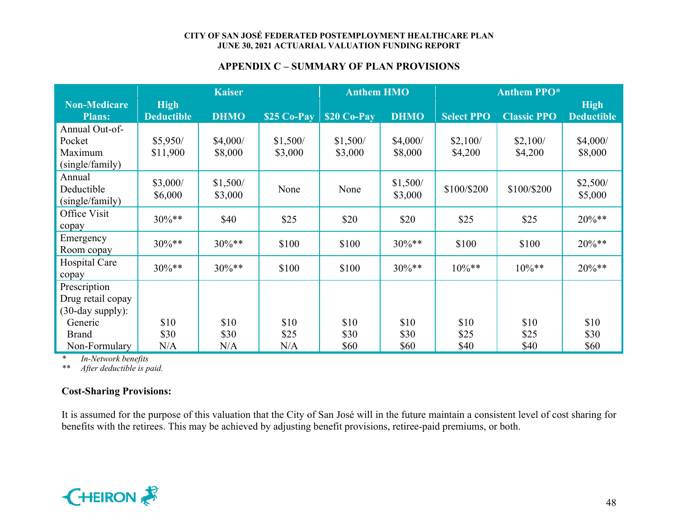# **APPENDIX C – SUMMARY OF PLAN PROVISIONS**

|                     | <b>Kaiser</b>     |             |             |             | <b>Anthem HMO</b> |                   | <b>Anthem PPO*</b> |                   |  |
|---------------------|-------------------|-------------|-------------|-------------|-------------------|-------------------|--------------------|-------------------|--|
| <b>Non-Medicare</b> | <b>High</b>       |             |             |             |                   |                   |                    | <b>High</b>       |  |
| <b>Plans:</b>       | <b>Deductible</b> | <b>DHMO</b> | \$25 Co-Pay | \$20 Co-Pay | <b>DHMO</b>       | <b>Select PPO</b> | <b>Classic PPO</b> | <b>Deductible</b> |  |
| Annual Out-of-      |                   |             |             |             |                   |                   |                    |                   |  |
| Pocket              | \$5,950/          | \$4,000/    | \$1,500/    | \$1,500/    | \$4,000/          | \$2,100/          | \$2,100/           | \$4,000/          |  |
| Maximum             | \$11,900          | \$8,000     | \$3,000     | \$3,000     | \$8,000           | \$4,200           | \$4,200            | \$8,000           |  |
| (single/family)     |                   |             |             |             |                   |                   |                    |                   |  |
| Annual              | \$3,000/          | \$1,500/    |             |             | \$1,500/          |                   |                    | \$2,500/          |  |
| Deductible          |                   |             | None        | None        |                   | \$100/\$200       | \$100/\$200        |                   |  |
| (single/family)     | \$6,000           | \$3,000     |             |             | \$3,000           |                   |                    | \$5,000           |  |
| Office Visit        | $30\%**$          |             |             |             |                   |                   |                    | $20\%**$          |  |
| copay               |                   | \$40        | \$25        | \$20        | \$20              | \$25              | \$25               |                   |  |
| Emergency           | $30\%**$          | $30\%**$    | \$100       | \$100       | $30\%**$          | \$100             | \$100              | $20\%**$          |  |
| Room copay          |                   |             |             |             |                   |                   |                    |                   |  |
| Hospital Care       | $30\%**$          | $30\%**$    | \$100       | \$100       | $30\%**$          | $10\%$ **         | $10\%$ **          | $20\%**$          |  |
| copay               |                   |             |             |             |                   |                   |                    |                   |  |
| Prescription        |                   |             |             |             |                   |                   |                    |                   |  |
| Drug retail copay   |                   |             |             |             |                   |                   |                    |                   |  |
| (30-day supply):    |                   |             |             |             |                   |                   |                    |                   |  |
| Generic             | \$10              | \$10        | \$10        | \$10        | \$10              | \$10              | \$10               | \$10              |  |
| <b>Brand</b>        | \$30              | \$30        | \$25        | \$30        | \$30              | \$25              | \$25               | \$30              |  |
| Non-Formulary       | N/A               | N/A         | N/A         | \$60        | \$60              | \$40              | \$40               | \$60              |  |

*\* In-Network benefits* 

*\*\* After deductible is paid.* 

# **Cost-Sharing Provisions:**

It is assumed for the purpose of this valuation that the City of San José will in the future maintain a consistent level of cost sharing for benefits with the retirees. This may be achieved by adjusting benefit provisions, retiree-paid premiums, or both.

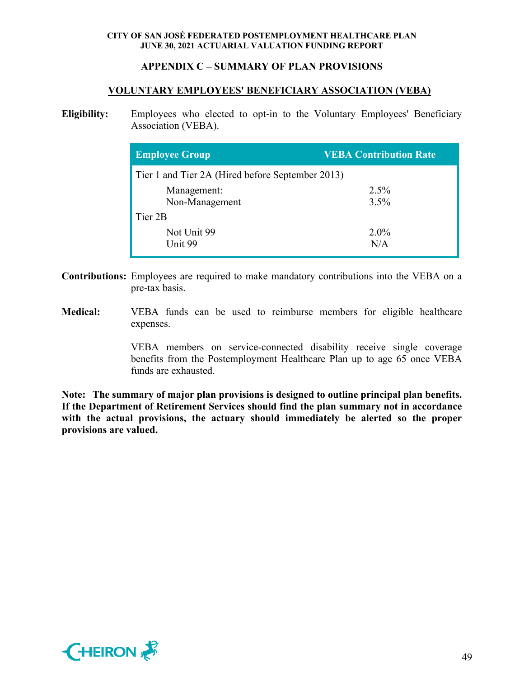## **APPENDIX C – SUMMARY OF PLAN PROVISIONS**

## **VOLUNTARY EMPLOYEES' BENEFICIARY ASSOCIATION (VEBA)**

**Eligibility:** Employees who elected to opt-in to the Voluntary Employees' Beneficiary Association (VEBA).

| <b>Employee Group</b>                            | <b>VEBA Contribution Rate</b> |  |  |  |
|--------------------------------------------------|-------------------------------|--|--|--|
| Tier 1 and Tier 2A (Hired before September 2013) |                               |  |  |  |
| Management:<br>Non-Management                    | 2.5%<br>3.5%                  |  |  |  |
| Tier 2B                                          |                               |  |  |  |
| Not Unit 99<br>Unit 99                           | $2.0\%$<br>N/A                |  |  |  |

- **Contributions:** Employees are required to make mandatory contributions into the VEBA on a pre-tax basis.
- **Medical:** VEBA funds can be used to reimburse members for eligible healthcare expenses.

VEBA members on service-connected disability receive single coverage benefits from the Postemployment Healthcare Plan up to age 65 once VEBA funds are exhausted.

**Note: The summary of major plan provisions is designed to outline principal plan benefits. If the Department of Retirement Services should find the plan summary not in accordance with the actual provisions, the actuary should immediately be alerted so the proper provisions are valued.** 

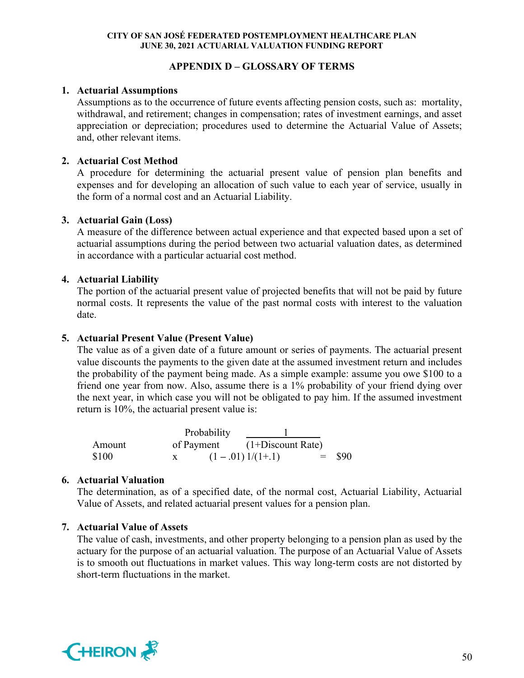# **APPENDIX D – GLOSSARY OF TERMS**

## **1. Actuarial Assumptions**

Assumptions as to the occurrence of future events affecting pension costs, such as: mortality, withdrawal, and retirement; changes in compensation; rates of investment earnings, and asset appreciation or depreciation; procedures used to determine the Actuarial Value of Assets; and, other relevant items.

#### **2. Actuarial Cost Method**

A procedure for determining the actuarial present value of pension plan benefits and expenses and for developing an allocation of such value to each year of service, usually in the form of a normal cost and an Actuarial Liability.

#### **3. Actuarial Gain (Loss)**

A measure of the difference between actual experience and that expected based upon a set of actuarial assumptions during the period between two actuarial valuation dates, as determined in accordance with a particular actuarial cost method.

#### **4. Actuarial Liability**

The portion of the actuarial present value of projected benefits that will not be paid by future normal costs. It represents the value of the past normal costs with interest to the valuation date.

#### **5. Actuarial Present Value (Present Value)**

The value as of a given date of a future amount or series of payments. The actuarial present value discounts the payments to the given date at the assumed investment return and includes the probability of the payment being made. As a simple example: assume you owe \$100 to a friend one year from now. Also, assume there is a 1% probability of your friend dying over the next year, in which case you will not be obligated to pay him. If the assumed investment return is 10%, the actuarial present value is:

|        | Probability |  |                     |  |          |
|--------|-------------|--|---------------------|--|----------|
| Amount | of Payment  |  | $(1+Discount Rate)$ |  |          |
| \$100  |             |  | $(1-.01)$ 1/(1+.1)  |  | $=$ \$90 |

## **6. Actuarial Valuation**

The determination, as of a specified date, of the normal cost, Actuarial Liability, Actuarial Value of Assets, and related actuarial present values for a pension plan.

## **7. Actuarial Value of Assets**

The value of cash, investments, and other property belonging to a pension plan as used by the actuary for the purpose of an actuarial valuation. The purpose of an Actuarial Value of Assets is to smooth out fluctuations in market values. This way long-term costs are not distorted by short-term fluctuations in the market.

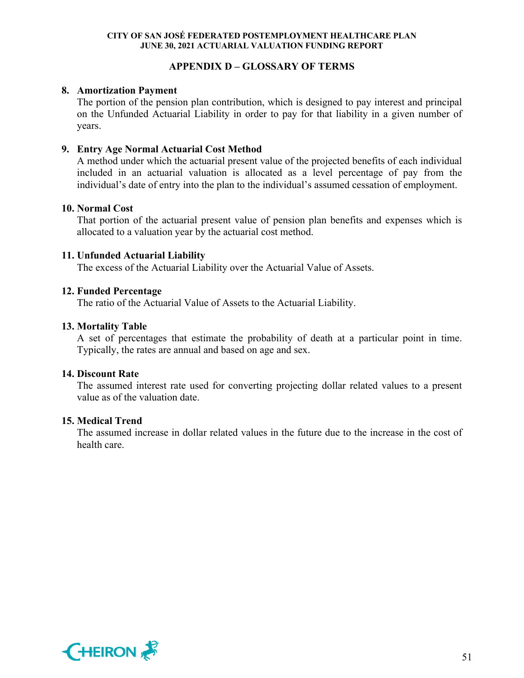# **APPENDIX D – GLOSSARY OF TERMS**

## **8. Amortization Payment**

The portion of the pension plan contribution, which is designed to pay interest and principal on the Unfunded Actuarial Liability in order to pay for that liability in a given number of years.

## **9. Entry Age Normal Actuarial Cost Method**

A method under which the actuarial present value of the projected benefits of each individual included in an actuarial valuation is allocated as a level percentage of pay from the individual's date of entry into the plan to the individual's assumed cessation of employment.

## **10. Normal Cost**

That portion of the actuarial present value of pension plan benefits and expenses which is allocated to a valuation year by the actuarial cost method.

## **11. Unfunded Actuarial Liability**

The excess of the Actuarial Liability over the Actuarial Value of Assets.

## **12. Funded Percentage**

The ratio of the Actuarial Value of Assets to the Actuarial Liability.

## **13. Mortality Table**

A set of percentages that estimate the probability of death at a particular point in time. Typically, the rates are annual and based on age and sex.

## **14. Discount Rate**

The assumed interest rate used for converting projecting dollar related values to a present value as of the valuation date.

## **15. Medical Trend**

The assumed increase in dollar related values in the future due to the increase in the cost of health care.

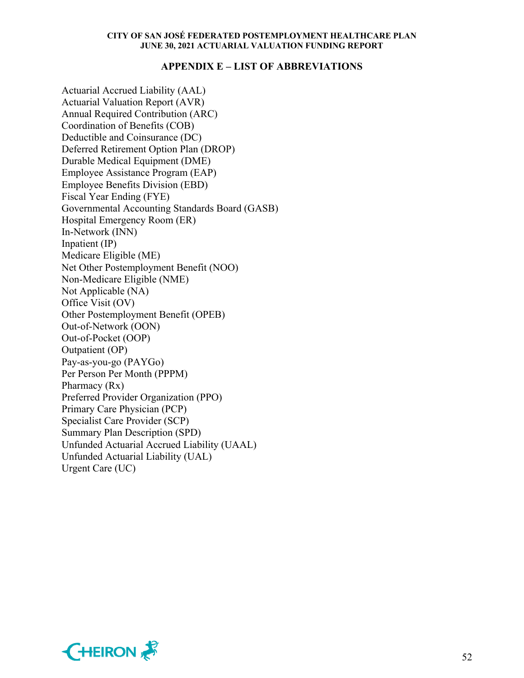## **APPENDIX E – LIST OF ABBREVIATIONS**

Actuarial Accrued Liability (AAL) Actuarial Valuation Report (AVR) Annual Required Contribution (ARC) Coordination of Benefits (COB) Deductible and Coinsurance (DC) Deferred Retirement Option Plan (DROP) Durable Medical Equipment (DME) Employee Assistance Program (EAP) Employee Benefits Division (EBD) Fiscal Year Ending (FYE) Governmental Accounting Standards Board (GASB) Hospital Emergency Room (ER) In-Network (INN) Inpatient (IP) Medicare Eligible (ME) Net Other Postemployment Benefit (NOO) Non-Medicare Eligible (NME) Not Applicable (NA) Office Visit (OV) Other Postemployment Benefit (OPEB) Out-of-Network (OON) Out-of-Pocket (OOP) Outpatient (OP) Pay-as-you-go (PAYGo) Per Person Per Month (PPPM) Pharmacy (Rx) Preferred Provider Organization (PPO) Primary Care Physician (PCP) Specialist Care Provider (SCP) Summary Plan Description (SPD) Unfunded Actuarial Accrued Liability (UAAL) Unfunded Actuarial Liability (UAL) Urgent Care (UC)